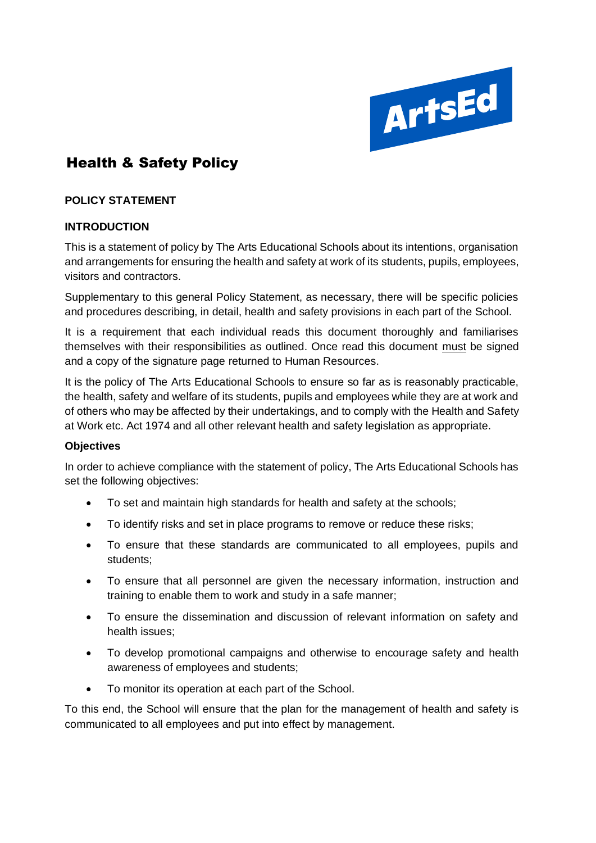

# **Health & Safety Policy**

### **POLICY STATEMENT**

### **INTRODUCTION**

This is a statement of policy by The Arts Educational Schools about its intentions, organisation and arrangements for ensuring the health and safety at work of its students, pupils, employees, visitors and contractors.

Supplementary to this general Policy Statement, as necessary, there will be specific policies and procedures describing, in detail, health and safety provisions in each part of the School.

It is a requirement that each individual reads this document thoroughly and familiarises themselves with their responsibilities as outlined. Once read this document must be signed and a copy of the signature page returned to Human Resources.

It is the policy of The Arts Educational Schools to ensure so far as is reasonably practicable, the health, safety and welfare of its students, pupils and employees while they are at work and of others who may be affected by their undertakings, and to comply with the Health and Safety at Work etc. Act 1974 and all other relevant health and safety legislation as appropriate.

#### **Objectives**

In order to achieve compliance with the statement of policy, The Arts Educational Schools has set the following objectives:

- To set and maintain high standards for health and safety at the schools;
- To identify risks and set in place programs to remove or reduce these risks;
- To ensure that these standards are communicated to all employees, pupils and students;
- To ensure that all personnel are given the necessary information, instruction and training to enable them to work and study in a safe manner;
- To ensure the dissemination and discussion of relevant information on safety and health issues;
- To develop promotional campaigns and otherwise to encourage safety and health awareness of employees and students;
- To monitor its operation at each part of the School.

To this end, the School will ensure that the plan for the management of health and safety is communicated to all employees and put into effect by management.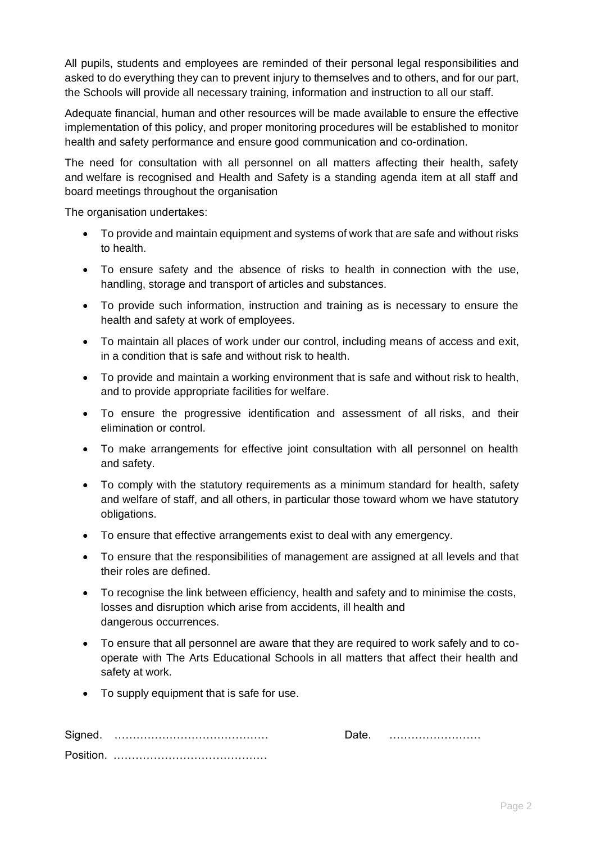All pupils, students and employees are reminded of their personal legal responsibilities and asked to do everything they can to prevent injury to themselves and to others, and for our part, the Schools will provide all necessary training, information and instruction to all our staff.

Adequate financial, human and other resources will be made available to ensure the effective implementation of this policy, and proper monitoring procedures will be established to monitor health and safety performance and ensure good communication and co-ordination.

The need for consultation with all personnel on all matters affecting their health, safety and welfare is recognised and Health and Safety is a standing agenda item at all staff and board meetings throughout the organisation

The organisation undertakes:

- To provide and maintain equipment and systems of work that are safe and without risks to health.
- To ensure safety and the absence of risks to health in connection with the use, handling, storage and transport of articles and substances.
- To provide such information, instruction and training as is necessary to ensure the health and safety at work of employees.
- To maintain all places of work under our control, including means of access and exit, in a condition that is safe and without risk to health.
- To provide and maintain a working environment that is safe and without risk to health, and to provide appropriate facilities for welfare.
- To ensure the progressive identification and assessment of all risks, and their elimination or control.
- To make arrangements for effective joint consultation with all personnel on health and safety.
- To comply with the statutory requirements as a minimum standard for health, safety and welfare of staff, and all others, in particular those toward whom we have statutory obligations.
- To ensure that effective arrangements exist to deal with any emergency.
- To ensure that the responsibilities of management are assigned at all levels and that their roles are defined.
- To recognise the link between efficiency, health and safety and to minimise the costs, losses and disruption which arise from accidents, ill health and dangerous occurrences.
- To ensure that all personnel are aware that they are required to work safely and to cooperate with The Arts Educational Schools in all matters that affect their health and safety at work.
- To supply equipment that is safe for use.

| Signed. |  |  |
|---------|--|--|
| Posi    |  |  |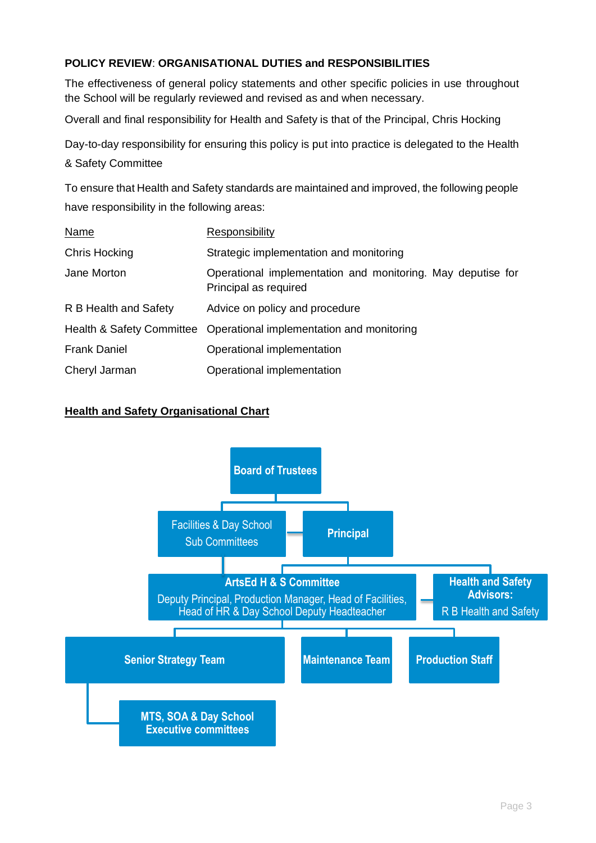# **POLICY REVIEW**: **ORGANISATIONAL DUTIES and RESPONSIBILITIES**

The effectiveness of general policy statements and other specific policies in use throughout the School will be regularly reviewed and revised as and when necessary.

Overall and final responsibility for Health and Safety is that of the Principal, Chris Hocking

Day-to-day responsibility for ensuring this policy is put into practice is delegated to the Health & Safety Committee

To ensure that Health and Safety standards are maintained and improved, the following people have responsibility in the following areas:

| <b>Name</b>           | Responsibility                                                                       |
|-----------------------|--------------------------------------------------------------------------------------|
| Chris Hocking         | Strategic implementation and monitoring                                              |
| Jane Morton           | Operational implementation and monitoring. May deputise for<br>Principal as required |
| R B Health and Safety | Advice on policy and procedure                                                       |
|                       | Health & Safety Committee Operational implementation and monitoring                  |
| <b>Frank Daniel</b>   | Operational implementation                                                           |
| Cheryl Jarman         | Operational implementation                                                           |

### **Health and Safety Organisational Chart**

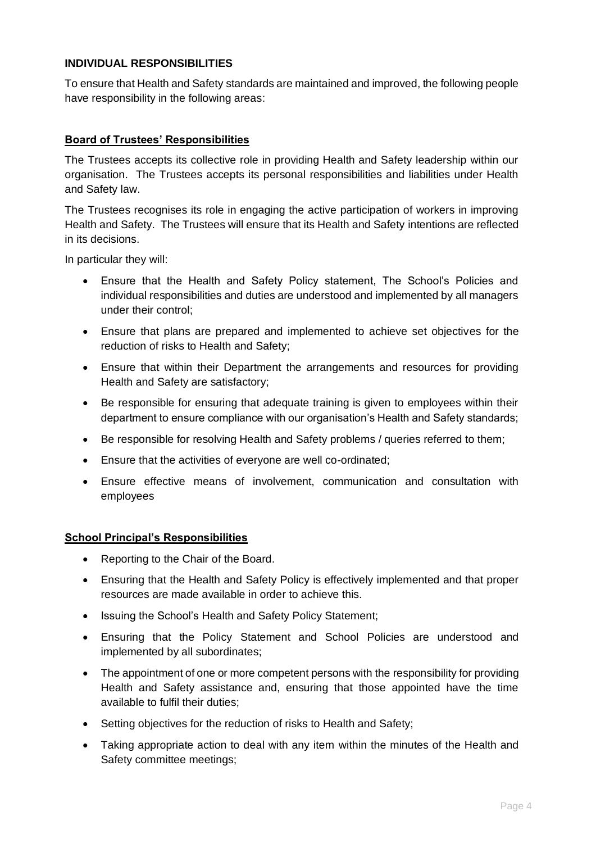### **INDIVIDUAL RESPONSIBILITIES**

To ensure that Health and Safety standards are maintained and improved, the following people have responsibility in the following areas:

#### **Board of Trustees' Responsibilities**

The Trustees accepts its collective role in providing Health and Safety leadership within our organisation. The Trustees accepts its personal responsibilities and liabilities under Health and Safety law.

The Trustees recognises its role in engaging the active participation of workers in improving Health and Safety. The Trustees will ensure that its Health and Safety intentions are reflected in its decisions.

In particular they will:

- Ensure that the Health and Safety Policy statement, The School's Policies and individual responsibilities and duties are understood and implemented by all managers under their control;
- Ensure that plans are prepared and implemented to achieve set objectives for the reduction of risks to Health and Safety;
- Ensure that within their Department the arrangements and resources for providing Health and Safety are satisfactory;
- Be responsible for ensuring that adequate training is given to employees within their department to ensure compliance with our organisation's Health and Safety standards;
- Be responsible for resolving Health and Safety problems / queries referred to them;
- Ensure that the activities of everyone are well co-ordinated;
- Ensure effective means of involvement, communication and consultation with employees

#### **School Principal's Responsibilities**

- Reporting to the Chair of the Board.
- Ensuring that the Health and Safety Policy is effectively implemented and that proper resources are made available in order to achieve this.
- Issuing the School's Health and Safety Policy Statement;
- Ensuring that the Policy Statement and School Policies are understood and implemented by all subordinates;
- The appointment of one or more competent persons with the responsibility for providing Health and Safety assistance and, ensuring that those appointed have the time available to fulfil their duties;
- Setting objectives for the reduction of risks to Health and Safety;
- Taking appropriate action to deal with any item within the minutes of the Health and Safety committee meetings;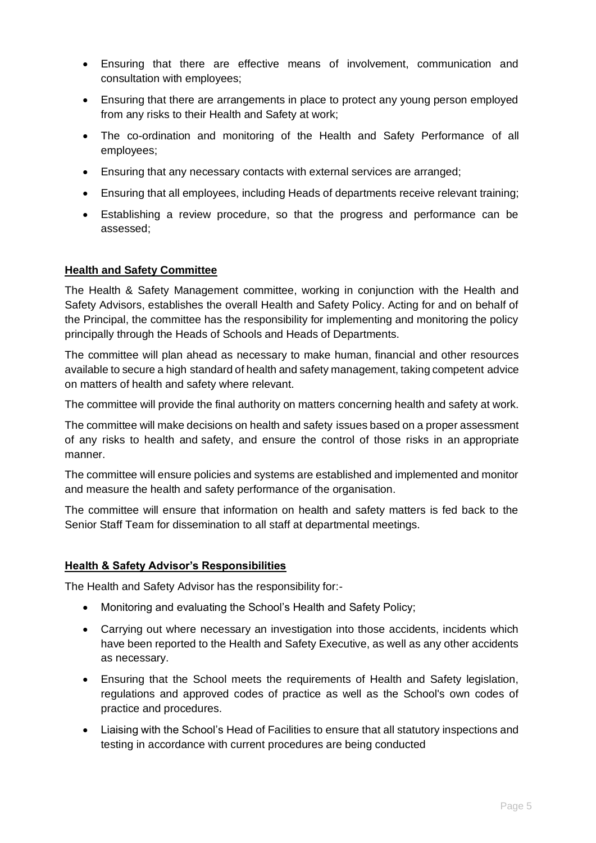- Ensuring that there are effective means of involvement, communication and consultation with employees;
- Ensuring that there are arrangements in place to protect any young person employed from any risks to their Health and Safety at work;
- The co-ordination and monitoring of the Health and Safety Performance of all employees;
- Ensuring that any necessary contacts with external services are arranged;
- Ensuring that all employees, including Heads of departments receive relevant training;
- Establishing a review procedure, so that the progress and performance can be assessed;

#### **Health and Safety Committee**

The Health & Safety Management committee, working in conjunction with the Health and Safety Advisors, establishes the overall Health and Safety Policy. Acting for and on behalf of the Principal, the committee has the responsibility for implementing and monitoring the policy principally through the Heads of Schools and Heads of Departments.

The committee will plan ahead as necessary to make human, financial and other resources available to secure a high standard of health and safety management, taking competent advice on matters of health and safety where relevant.

The committee will provide the final authority on matters concerning health and safety at work.

The committee will make decisions on health and safety issues based on a proper assessment of any risks to health and safety, and ensure the control of those risks in an appropriate manner.

The committee will ensure policies and systems are established and implemented and monitor and measure the health and safety performance of the organisation.

The committee will ensure that information on health and safety matters is fed back to the Senior Staff Team for dissemination to all staff at departmental meetings.

### **Health & Safety Advisor's Responsibilities**

The Health and Safety Advisor has the responsibility for:-

- Monitoring and evaluating the School's Health and Safety Policy;
- Carrying out where necessary an investigation into those accidents, incidents which have been reported to the Health and Safety Executive, as well as any other accidents as necessary.
- Ensuring that the School meets the requirements of Health and Safety legislation, regulations and approved codes of practice as well as the School's own codes of practice and procedures.
- Liaising with the School's Head of Facilities to ensure that all statutory inspections and testing in accordance with current procedures are being conducted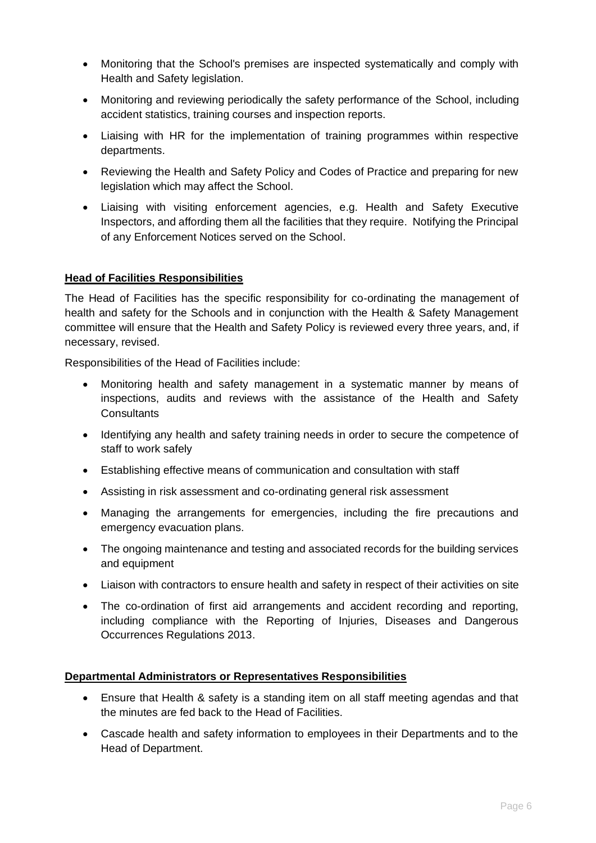- Monitoring that the School's premises are inspected systematically and comply with Health and Safety legislation.
- Monitoring and reviewing periodically the safety performance of the School, including accident statistics, training courses and inspection reports.
- Liaising with HR for the implementation of training programmes within respective departments.
- Reviewing the Health and Safety Policy and Codes of Practice and preparing for new legislation which may affect the School.
- Liaising with visiting enforcement agencies, e.g. Health and Safety Executive Inspectors, and affording them all the facilities that they require. Notifying the Principal of any Enforcement Notices served on the School.

### **Head of Facilities Responsibilities**

The Head of Facilities has the specific responsibility for co-ordinating the management of health and safety for the Schools and in conjunction with the Health & Safety Management committee will ensure that the Health and Safety Policy is reviewed every three years, and, if necessary, revised.

Responsibilities of the Head of Facilities include:

- Monitoring health and safety management in a systematic manner by means of inspections, audits and reviews with the assistance of the Health and Safety **Consultants**
- Identifying any health and safety training needs in order to secure the competence of staff to work safely
- Establishing effective means of communication and consultation with staff
- Assisting in risk assessment and co-ordinating general risk assessment
- Managing the arrangements for emergencies, including the fire precautions and emergency evacuation plans.
- The ongoing maintenance and testing and associated records for the building services and equipment
- Liaison with contractors to ensure health and safety in respect of their activities on site
- The co-ordination of first aid arrangements and accident recording and reporting, including compliance with the Reporting of Injuries, Diseases and Dangerous Occurrences Regulations 2013.

#### **Departmental Administrators or Representatives Responsibilities**

- Ensure that Health & safety is a standing item on all staff meeting agendas and that the minutes are fed back to the Head of Facilities.
- Cascade health and safety information to employees in their Departments and to the Head of Department.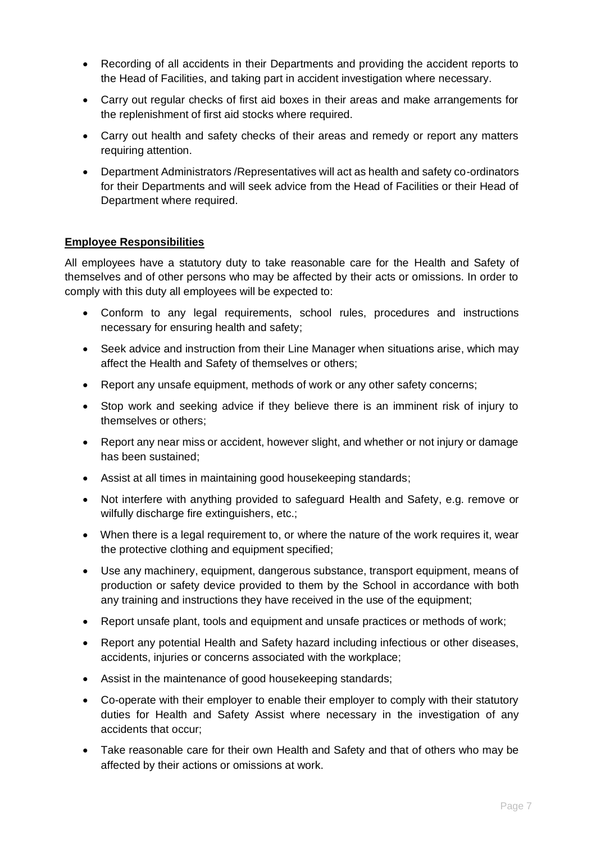- Recording of all accidents in their Departments and providing the accident reports to the Head of Facilities, and taking part in accident investigation where necessary.
- Carry out regular checks of first aid boxes in their areas and make arrangements for the replenishment of first aid stocks where required.
- Carry out health and safety checks of their areas and remedy or report any matters requiring attention.
- Department Administrators /Representatives will act as health and safety co-ordinators for their Departments and will seek advice from the Head of Facilities or their Head of Department where required.

### **Employee Responsibilities**

All employees have a statutory duty to take reasonable care for the Health and Safety of themselves and of other persons who may be affected by their acts or omissions. In order to comply with this duty all employees will be expected to:

- Conform to any legal requirements, school rules, procedures and instructions necessary for ensuring health and safety;
- Seek advice and instruction from their Line Manager when situations arise, which may affect the Health and Safety of themselves or others;
- Report any unsafe equipment, methods of work or any other safety concerns;
- Stop work and seeking advice if they believe there is an imminent risk of injury to themselves or others;
- Report any near miss or accident, however slight, and whether or not injury or damage has been sustained;
- Assist at all times in maintaining good housekeeping standards;
- Not interfere with anything provided to safeguard Health and Safety, e.g. remove or wilfully discharge fire extinguishers, etc.;
- When there is a legal requirement to, or where the nature of the work requires it, wear the protective clothing and equipment specified;
- Use any machinery, equipment, dangerous substance, transport equipment, means of production or safety device provided to them by the School in accordance with both any training and instructions they have received in the use of the equipment;
- Report unsafe plant, tools and equipment and unsafe practices or methods of work;
- Report any potential Health and Safety hazard including infectious or other diseases, accidents, injuries or concerns associated with the workplace;
- Assist in the maintenance of good housekeeping standards;
- Co-operate with their employer to enable their employer to comply with their statutory duties for Health and Safety Assist where necessary in the investigation of any accidents that occur;
- Take reasonable care for their own Health and Safety and that of others who may be affected by their actions or omissions at work.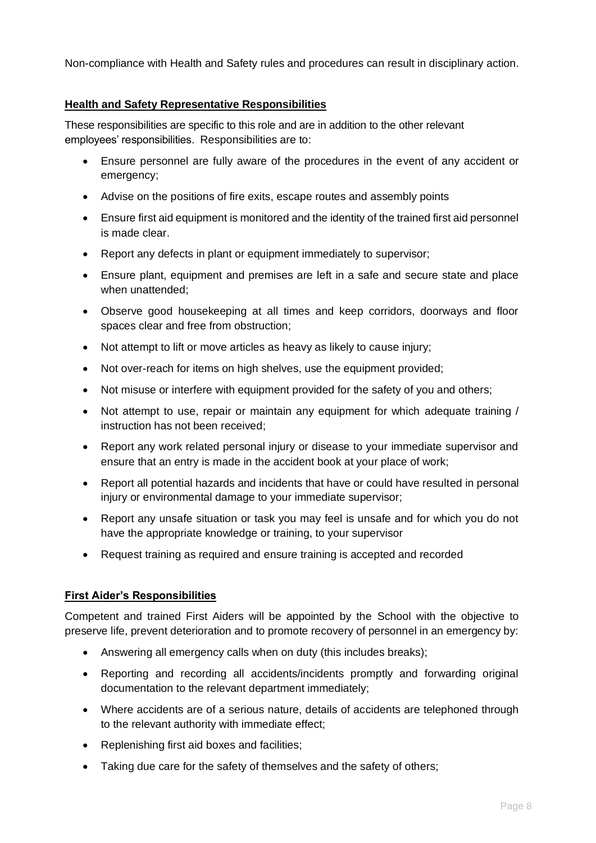Non-compliance with Health and Safety rules and procedures can result in disciplinary action.

### **Health and Safety Representative Responsibilities**

These responsibilities are specific to this role and are in addition to the other relevant employees' responsibilities. Responsibilities are to:

- Ensure personnel are fully aware of the procedures in the event of any accident or emergency;
- Advise on the positions of fire exits, escape routes and assembly points
- Ensure first aid equipment is monitored and the identity of the trained first aid personnel is made clear.
- Report any defects in plant or equipment immediately to supervisor;
- Ensure plant, equipment and premises are left in a safe and secure state and place when unattended;
- Observe good housekeeping at all times and keep corridors, doorways and floor spaces clear and free from obstruction;
- Not attempt to lift or move articles as heavy as likely to cause injury;
- Not over-reach for items on high shelves, use the equipment provided;
- Not misuse or interfere with equipment provided for the safety of you and others:
- Not attempt to use, repair or maintain any equipment for which adequate training / instruction has not been received;
- Report any work related personal injury or disease to your immediate supervisor and ensure that an entry is made in the accident book at your place of work;
- Report all potential hazards and incidents that have or could have resulted in personal injury or environmental damage to your immediate supervisor;
- Report any unsafe situation or task you may feel is unsafe and for which you do not have the appropriate knowledge or training, to your supervisor
- Request training as required and ensure training is accepted and recorded

#### **First Aider's Responsibilities**

Competent and trained First Aiders will be appointed by the School with the objective to preserve life, prevent deterioration and to promote recovery of personnel in an emergency by:

- Answering all emergency calls when on duty (this includes breaks);
- Reporting and recording all accidents/incidents promptly and forwarding original documentation to the relevant department immediately;
- Where accidents are of a serious nature, details of accidents are telephoned through to the relevant authority with immediate effect;
- Replenishing first aid boxes and facilities;
- Taking due care for the safety of themselves and the safety of others;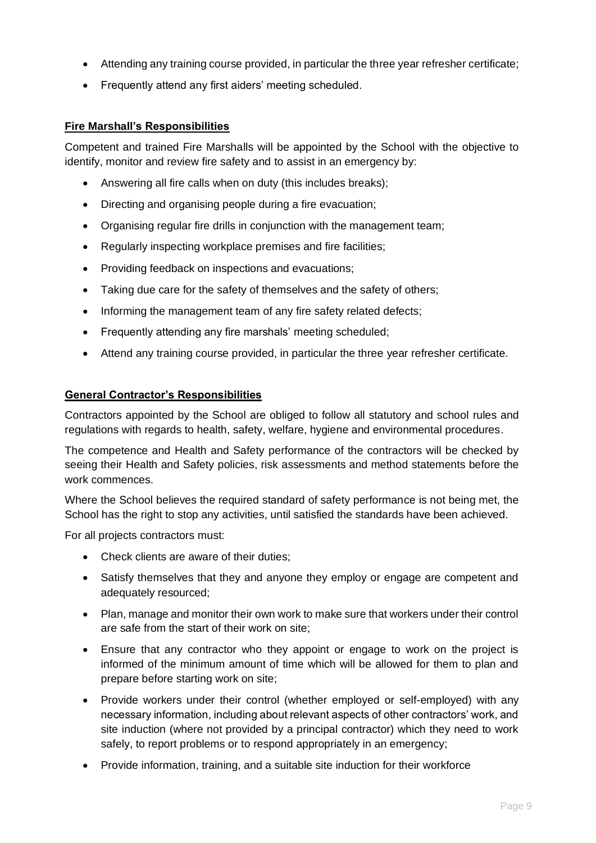- Attending any training course provided, in particular the three year refresher certificate;
- Frequently attend any first aiders' meeting scheduled.

### **Fire Marshall's Responsibilities**

Competent and trained Fire Marshalls will be appointed by the School with the objective to identify, monitor and review fire safety and to assist in an emergency by:

- Answering all fire calls when on duty (this includes breaks);
- Directing and organising people during a fire evacuation;
- Organising regular fire drills in conjunction with the management team;
- Regularly inspecting workplace premises and fire facilities;
- Providing feedback on inspections and evacuations;
- Taking due care for the safety of themselves and the safety of others;
- Informing the management team of any fire safety related defects;
- Frequently attending any fire marshals' meeting scheduled;
- Attend any training course provided, in particular the three year refresher certificate.

#### **General Contractor's Responsibilities**

Contractors appointed by the School are obliged to follow all statutory and school rules and regulations with regards to health, safety, welfare, hygiene and environmental procedures.

The competence and Health and Safety performance of the contractors will be checked by seeing their Health and Safety policies, risk assessments and method statements before the work commences.

Where the School believes the required standard of safety performance is not being met, the School has the right to stop any activities, until satisfied the standards have been achieved.

For all projects contractors must:

- Check clients are aware of their duties;
- Satisfy themselves that they and anyone they employ or engage are competent and adequately resourced;
- Plan, manage and monitor their own work to make sure that workers under their control are safe from the start of their work on site;
- Ensure that any contractor who they appoint or engage to work on the project is informed of the minimum amount of time which will be allowed for them to plan and prepare before starting work on site;
- Provide workers under their control (whether employed or self-employed) with any necessary information, including about relevant aspects of other contractors' work, and site induction (where not provided by a principal contractor) which they need to work safely, to report problems or to respond appropriately in an emergency;
- Provide information, training, and a suitable site induction for their workforce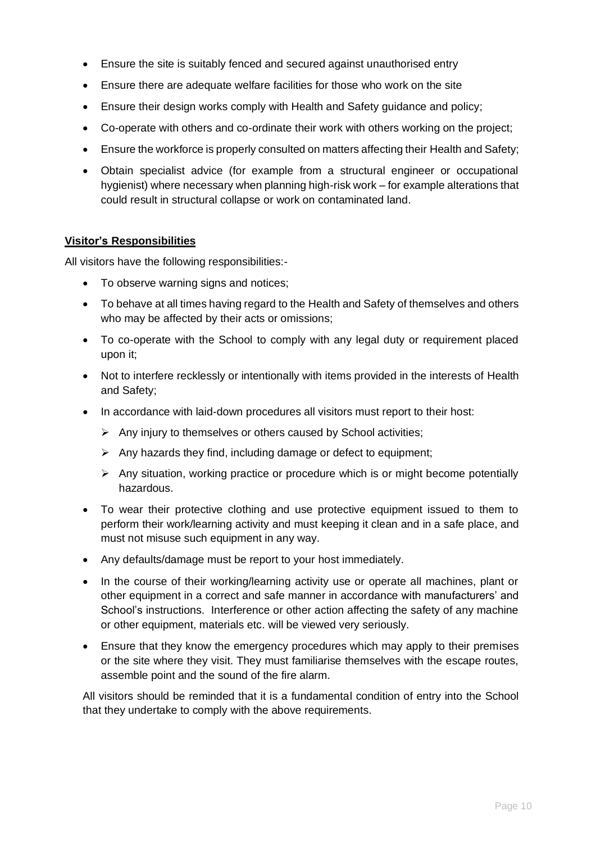- Ensure the site is suitably fenced and secured against unauthorised entry
- Ensure there are adequate welfare facilities for those who work on the site
- Ensure their design works comply with Health and Safety guidance and policy;
- Co-operate with others and co-ordinate their work with others working on the project;
- Ensure the workforce is properly consulted on matters affecting their Health and Safety;
- Obtain specialist advice (for example from a structural engineer or occupational hygienist) where necessary when planning high-risk work – for example alterations that could result in structural collapse or work on contaminated land.

### **Visitor's Responsibilities**

All visitors have the following responsibilities:-

- To observe warning signs and notices;
- To behave at all times having regard to the Health and Safety of themselves and others who may be affected by their acts or omissions;
- To co-operate with the School to comply with any legal duty or requirement placed upon it;
- Not to interfere recklessly or intentionally with items provided in the interests of Health and Safety;
- In accordance with laid-down procedures all visitors must report to their host:
	- ➢ Any injury to themselves or others caused by School activities;
	- $\triangleright$  Any hazards they find, including damage or defect to equipment;
	- ➢ Any situation, working practice or procedure which is or might become potentially hazardous.
- To wear their protective clothing and use protective equipment issued to them to perform their work/learning activity and must keeping it clean and in a safe place, and must not misuse such equipment in any way.
- Any defaults/damage must be report to your host immediately.
- In the course of their working/learning activity use or operate all machines, plant or other equipment in a correct and safe manner in accordance with manufacturers' and School's instructions. Interference or other action affecting the safety of any machine or other equipment, materials etc. will be viewed very seriously.
- Ensure that they know the emergency procedures which may apply to their premises or the site where they visit. They must familiarise themselves with the escape routes, assemble point and the sound of the fire alarm.

All visitors should be reminded that it is a fundamental condition of entry into the School that they undertake to comply with the above requirements.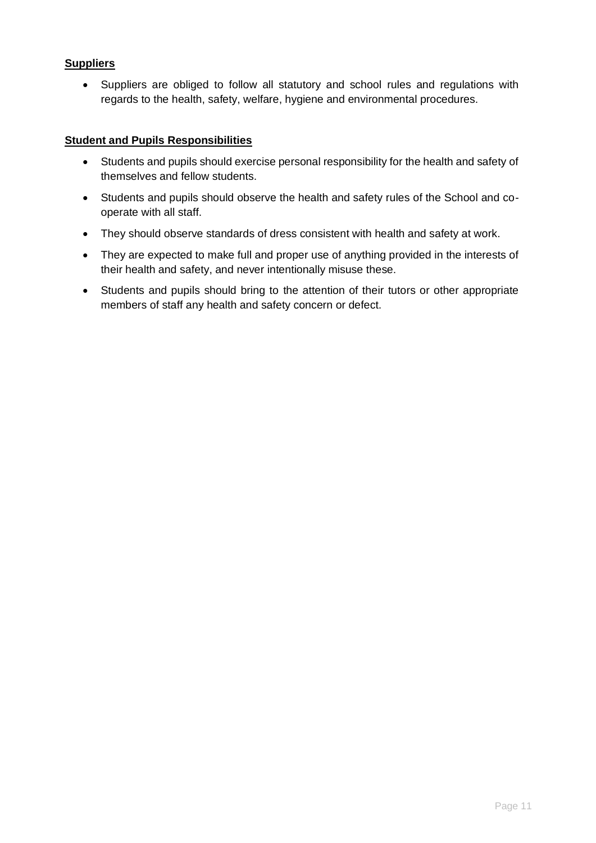### **Suppliers**

• Suppliers are obliged to follow all statutory and school rules and regulations with regards to the health, safety, welfare, hygiene and environmental procedures.

#### **Student and Pupils Responsibilities**

- Students and pupils should exercise personal responsibility for the health and safety of themselves and fellow students.
- Students and pupils should observe the health and safety rules of the School and cooperate with all staff.
- They should observe standards of dress consistent with health and safety at work.
- They are expected to make full and proper use of anything provided in the interests of their health and safety, and never intentionally misuse these.
- Students and pupils should bring to the attention of their tutors or other appropriate members of staff any health and safety concern or defect.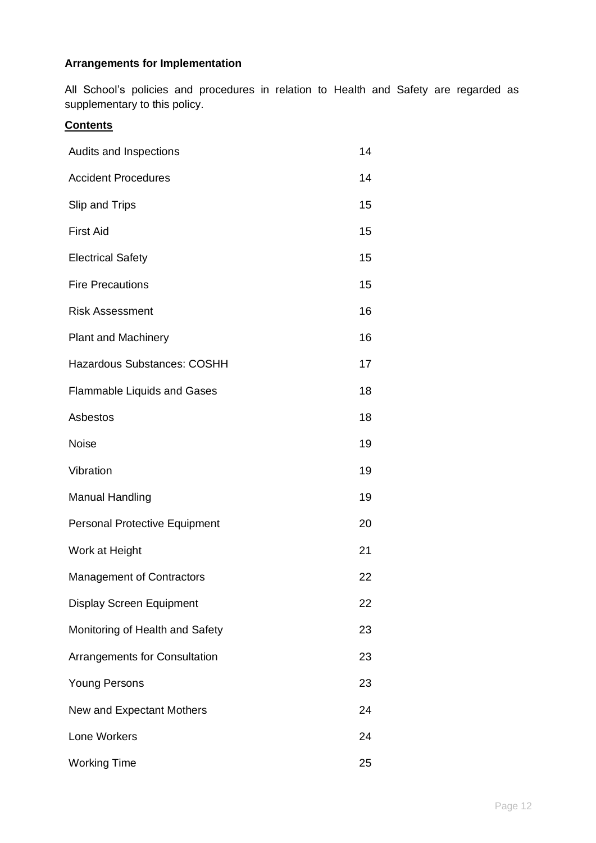# **Arrangements for Implementation**

All School's policies and procedures in relation to Health and Safety are regarded as supplementary to this policy.

# **Contents**

| Audits and Inspections               |    |  |
|--------------------------------------|----|--|
| <b>Accident Procedures</b>           | 14 |  |
| Slip and Trips                       | 15 |  |
| <b>First Aid</b>                     | 15 |  |
| <b>Electrical Safety</b>             | 15 |  |
| <b>Fire Precautions</b>              | 15 |  |
| <b>Risk Assessment</b>               | 16 |  |
| <b>Plant and Machinery</b>           | 16 |  |
| Hazardous Substances: COSHH          | 17 |  |
| <b>Flammable Liquids and Gases</b>   | 18 |  |
| Asbestos                             | 18 |  |
| <b>Noise</b>                         | 19 |  |
| Vibration                            | 19 |  |
| <b>Manual Handling</b>               | 19 |  |
| <b>Personal Protective Equipment</b> | 20 |  |
| Work at Height                       | 21 |  |
| <b>Management of Contractors</b>     | 22 |  |
| <b>Display Screen Equipment</b>      | 22 |  |
| Monitoring of Health and Safety      | 23 |  |
| Arrangements for Consultation        | 23 |  |
| <b>Young Persons</b>                 | 23 |  |
| New and Expectant Mothers            | 24 |  |
| Lone Workers                         |    |  |
| <b>Working Time</b>                  |    |  |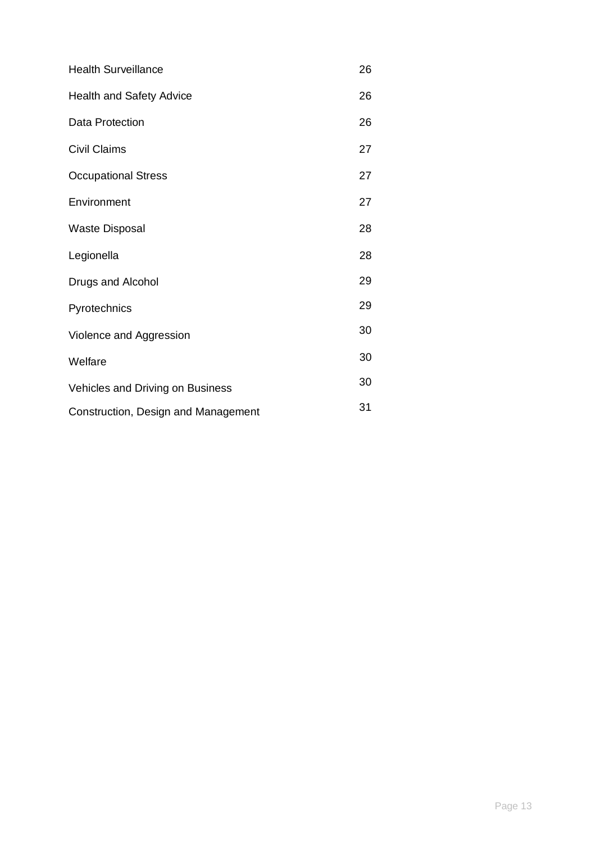| <b>Health Surveillance</b>          |    |  |
|-------------------------------------|----|--|
| <b>Health and Safety Advice</b>     | 26 |  |
| Data Protection                     | 26 |  |
| <b>Civil Claims</b>                 | 27 |  |
| <b>Occupational Stress</b>          | 27 |  |
| Environment                         | 27 |  |
| <b>Waste Disposal</b>               | 28 |  |
| Legionella                          | 28 |  |
| Drugs and Alcohol                   | 29 |  |
| Pyrotechnics                        | 29 |  |
| Violence and Aggression             |    |  |
| Welfare                             | 30 |  |
| Vehicles and Driving on Business    | 30 |  |
| Construction, Design and Management |    |  |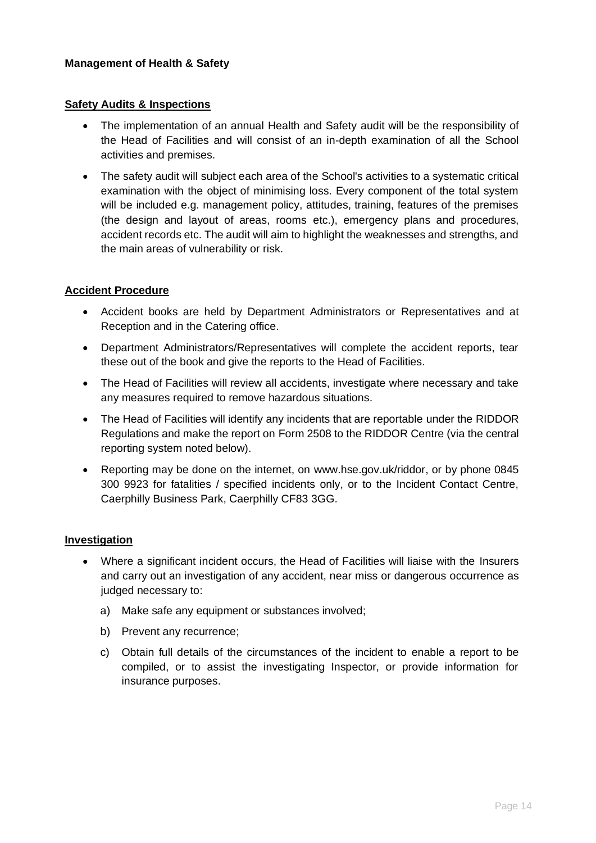#### **Safety Audits & Inspections**

- The implementation of an annual Health and Safety audit will be the responsibility of the Head of Facilities and will consist of an in-depth examination of all the School activities and premises.
- The safety audit will subject each area of the School's activities to a systematic critical examination with the object of minimising loss. Every component of the total system will be included e.g. management policy, attitudes, training, features of the premises (the design and layout of areas, rooms etc.), emergency plans and procedures, accident records etc. The audit will aim to highlight the weaknesses and strengths, and the main areas of vulnerability or risk.

#### **Accident Procedure**

- Accident books are held by Department Administrators or Representatives and at Reception and in the Catering office.
- Department Administrators/Representatives will complete the accident reports, tear these out of the book and give the reports to the Head of Facilities.
- The Head of Facilities will review all accidents, investigate where necessary and take any measures required to remove hazardous situations.
- The Head of Facilities will identify any incidents that are reportable under the RIDDOR Regulations and make the report on Form 2508 to the RIDDOR Centre (via the central reporting system noted below).
- Reporting may be done on the internet, on [www.hse.gov.uk/riddor,](http://www.hse.gov.uk/riddor) or by phone 0845 300 9923 for fatalities / specified incidents only, or to the Incident Contact Centre, Caerphilly Business Park, Caerphilly CF83 3GG.

#### **Investigation**

- Where a significant incident occurs, the Head of Facilities will liaise with the Insurers and carry out an investigation of any accident, near miss or dangerous occurrence as judged necessary to:
	- a) Make safe any equipment or substances involved;
	- b) Prevent any recurrence;
	- c) Obtain full details of the circumstances of the incident to enable a report to be compiled, or to assist the investigating Inspector, or provide information for insurance purposes.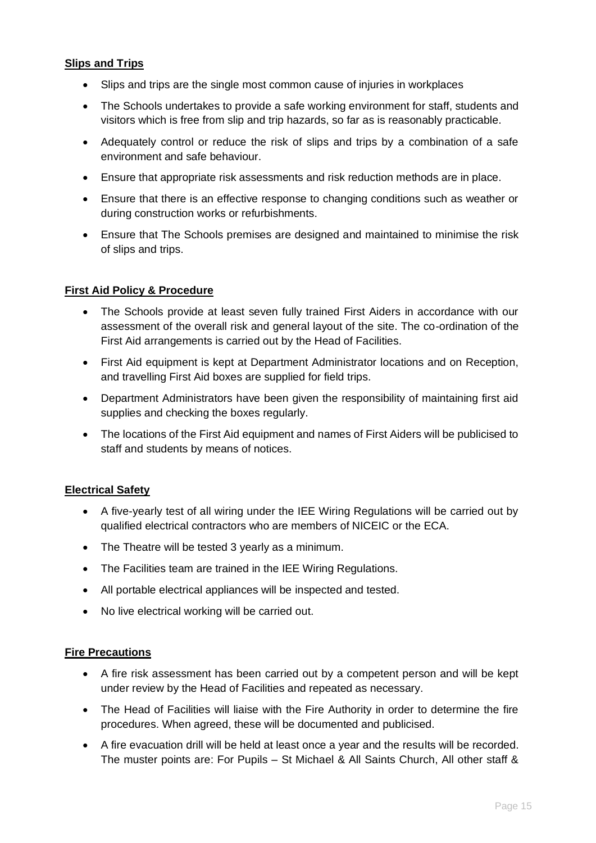### **Slips and Trips**

- Slips and trips are the single most common cause of injuries in workplaces
- The Schools undertakes to provide a safe working environment for staff, students and visitors which is free from slip and trip hazards, so far as is reasonably practicable.
- Adequately control or reduce the risk of slips and trips by a combination of a safe environment and safe behaviour.
- Ensure that appropriate risk assessments and risk reduction methods are in place.
- Ensure that there is an effective response to changing conditions such as weather or during construction works or refurbishments.
- Ensure that The Schools premises are designed and maintained to minimise the risk of slips and trips.

### **First Aid Policy & Procedure**

- The Schools provide at least seven fully trained First Aiders in accordance with our assessment of the overall risk and general layout of the site. The co-ordination of the First Aid arrangements is carried out by the Head of Facilities.
- First Aid equipment is kept at Department Administrator locations and on Reception, and travelling First Aid boxes are supplied for field trips.
- Department Administrators have been given the responsibility of maintaining first aid supplies and checking the boxes regularly.
- The locations of the First Aid equipment and names of First Aiders will be publicised to staff and students by means of notices.

#### **Electrical Safety**

- A five-yearly test of all wiring under the IEE Wiring Regulations will be carried out by qualified electrical contractors who are members of NICEIC or the ECA.
- The Theatre will be tested 3 yearly as a minimum.
- The Facilities team are trained in the IEE Wiring Regulations.
- All portable electrical appliances will be inspected and tested.
- No live electrical working will be carried out.

### **Fire Precautions**

- A fire risk assessment has been carried out by a competent person and will be kept under review by the Head of Facilities and repeated as necessary.
- The Head of Facilities will liaise with the Fire Authority in order to determine the fire procedures. When agreed, these will be documented and publicised.
- A fire evacuation drill will be held at least once a year and the results will be recorded. The muster points are: For Pupils – St Michael & All Saints Church, All other staff &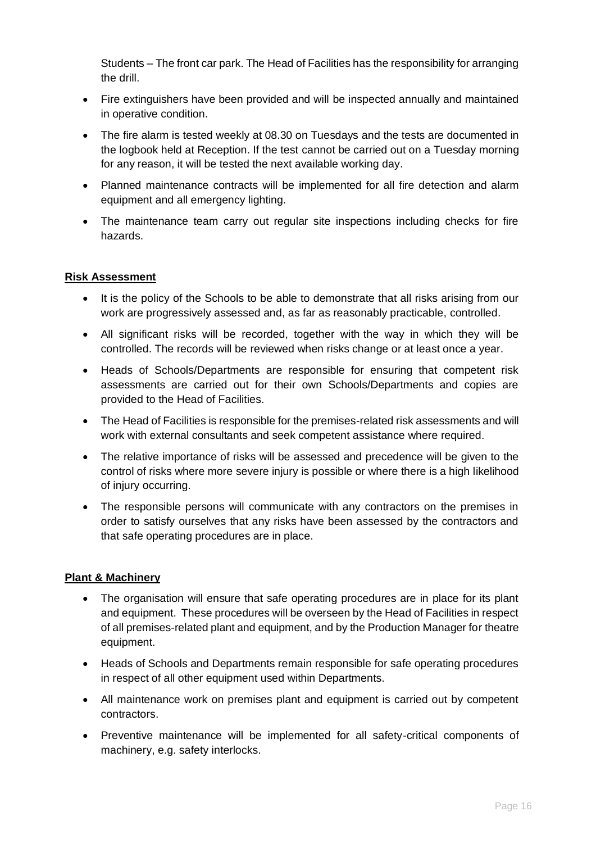Students – The front car park. The Head of Facilities has the responsibility for arranging the drill.

- Fire extinguishers have been provided and will be inspected annually and maintained in operative condition.
- The fire alarm is tested weekly at 08.30 on Tuesdays and the tests are documented in the logbook held at Reception. If the test cannot be carried out on a Tuesday morning for any reason, it will be tested the next available working day.
- Planned maintenance contracts will be implemented for all fire detection and alarm equipment and all emergency lighting.
- The maintenance team carry out regular site inspections including checks for fire hazards.

### **Risk Assessment**

- It is the policy of the Schools to be able to demonstrate that all risks arising from our work are progressively assessed and, as far as reasonably practicable, controlled.
- All significant risks will be recorded, together with the way in which they will be controlled. The records will be reviewed when risks change or at least once a year.
- Heads of Schools/Departments are responsible for ensuring that competent risk assessments are carried out for their own Schools/Departments and copies are provided to the Head of Facilities.
- The Head of Facilities is responsible for the premises-related risk assessments and will work with external consultants and seek competent assistance where required.
- The relative importance of risks will be assessed and precedence will be given to the control of risks where more severe injury is possible or where there is a high likelihood of injury occurring.
- The responsible persons will communicate with any contractors on the premises in order to satisfy ourselves that any risks have been assessed by the contractors and that safe operating procedures are in place.

### **Plant & Machinery**

- The organisation will ensure that safe operating procedures are in place for its plant and equipment. These procedures will be overseen by the Head of Facilities in respect of all premises-related plant and equipment, and by the Production Manager for theatre equipment.
- Heads of Schools and Departments remain responsible for safe operating procedures in respect of all other equipment used within Departments.
- All maintenance work on premises plant and equipment is carried out by competent contractors.
- Preventive maintenance will be implemented for all safety-critical components of machinery, e.g. safety interlocks.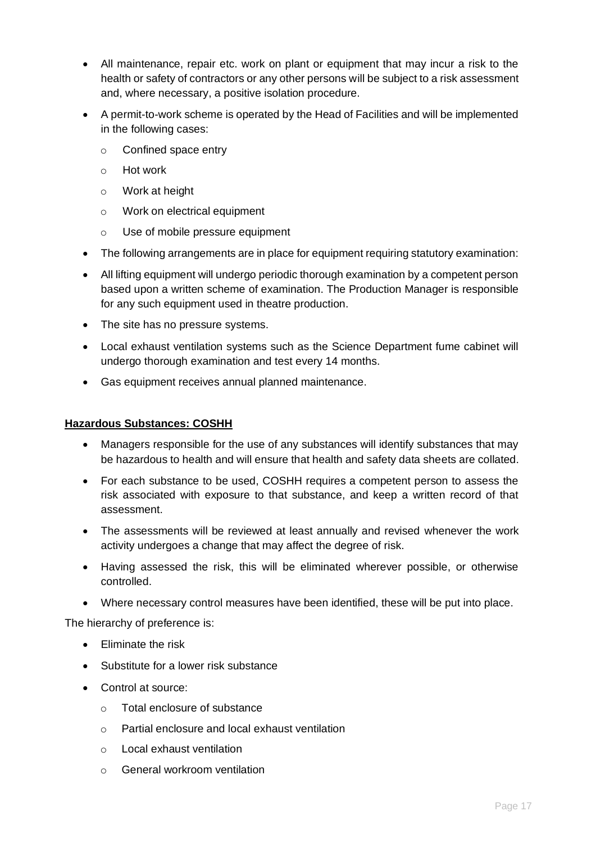- All maintenance, repair etc. work on plant or equipment that may incur a risk to the health or safety of contractors or any other persons will be subject to a risk assessment and, where necessary, a positive isolation procedure.
- A permit-to-work scheme is operated by the Head of Facilities and will be implemented in the following cases:
	- o Confined space entry
	- o Hot work
	- o Work at height
	- o Work on electrical equipment
	- o Use of mobile pressure equipment
- The following arrangements are in place for equipment requiring statutory examination:
- All lifting equipment will undergo periodic thorough examination by a competent person based upon a written scheme of examination. The Production Manager is responsible for any such equipment used in theatre production.
- The site has no pressure systems.
- Local exhaust ventilation systems such as the Science Department fume cabinet will undergo thorough examination and test every 14 months.
- Gas equipment receives annual planned maintenance.

#### **Hazardous Substances: COSHH**

- Managers responsible for the use of any substances will identify substances that may be hazardous to health and will ensure that health and safety data sheets are collated.
- For each substance to be used, COSHH requires a competent person to assess the risk associated with exposure to that substance, and keep a written record of that assessment.
- The assessments will be reviewed at least annually and revised whenever the work activity undergoes a change that may affect the degree of risk.
- Having assessed the risk, this will be eliminated wherever possible, or otherwise controlled.
- Where necessary control measures have been identified, these will be put into place.

The hierarchy of preference is:

- Eliminate the risk
- Substitute for a lower risk substance
- Control at source:
	- o Total enclosure of substance
	- o Partial enclosure and local exhaust ventilation
	- o Local exhaust ventilation
	- o General workroom ventilation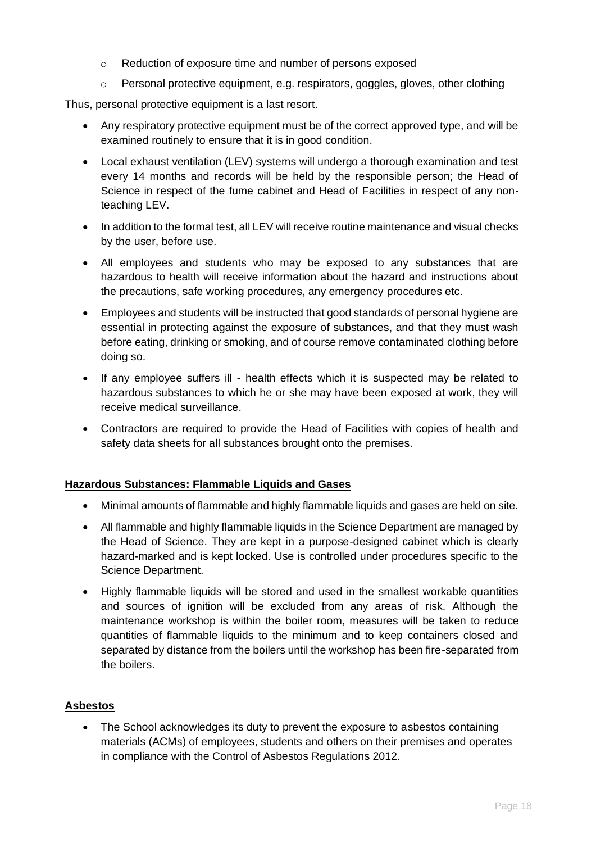- o Reduction of exposure time and number of persons exposed
- $\circ$  Personal protective equipment, e.g. respirators, goggles, gloves, other clothing

Thus, personal protective equipment is a last resort.

- Any respiratory protective equipment must be of the correct approved type, and will be examined routinely to ensure that it is in good condition.
- Local exhaust ventilation (LEV) systems will undergo a thorough examination and test every 14 months and records will be held by the responsible person; the Head of Science in respect of the fume cabinet and Head of Facilities in respect of any nonteaching LEV.
- In addition to the formal test, all LEV will receive routine maintenance and visual checks by the user, before use.
- All employees and students who may be exposed to any substances that are hazardous to health will receive information about the hazard and instructions about the precautions, safe working procedures, any emergency procedures etc.
- Employees and students will be instructed that good standards of personal hygiene are essential in protecting against the exposure of substances, and that they must wash before eating, drinking or smoking, and of course remove contaminated clothing before doing so.
- If any employee suffers ill health effects which it is suspected may be related to hazardous substances to which he or she may have been exposed at work, they will receive medical surveillance.
- Contractors are required to provide the Head of Facilities with copies of health and safety data sheets for all substances brought onto the premises.

### **Hazardous Substances: Flammable Liquids and Gases**

- Minimal amounts of flammable and highly flammable liquids and gases are held on site.
- All flammable and highly flammable liquids in the Science Department are managed by the Head of Science. They are kept in a purpose-designed cabinet which is clearly hazard-marked and is kept locked. Use is controlled under procedures specific to the Science Department.
- Highly flammable liquids will be stored and used in the smallest workable quantities and sources of ignition will be excluded from any areas of risk. Although the maintenance workshop is within the boiler room, measures will be taken to reduce quantities of flammable liquids to the minimum and to keep containers closed and separated by distance from the boilers until the workshop has been fire-separated from the boilers.

### **Asbestos**

The School acknowledges its duty to prevent the exposure to asbestos containing materials (ACMs) of employees, students and others on their premises and operates in compliance with the Control of Asbestos Regulations 2012.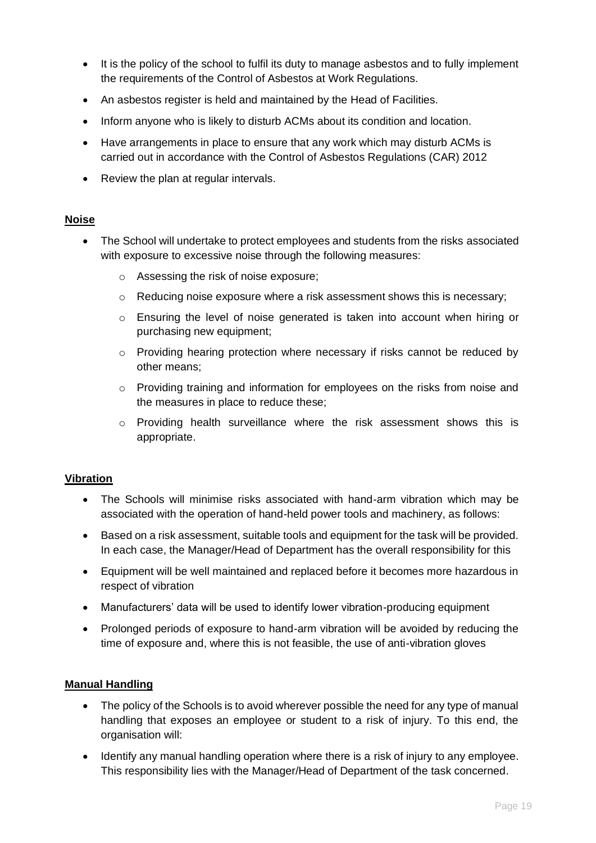- It is the policy of the school to fulfil its duty to manage asbestos and to fully implement the requirements of the Control of Asbestos at Work Regulations.
- An asbestos register is held and maintained by the Head of Facilities.
- Inform anyone who is likely to disturb ACMs about its condition and location.
- Have arrangements in place to ensure that any work which may disturb ACMs is carried out in accordance with the Control of Asbestos Regulations (CAR) 2012
- Review the plan at regular intervals.

### **Noise**

- The School will undertake to protect employees and students from the risks associated with exposure to excessive noise through the following measures:
	- o Assessing the risk of noise exposure;
	- $\circ$  Reducing noise exposure where a risk assessment shows this is necessary;
	- $\circ$  Ensuring the level of noise generated is taken into account when hiring or purchasing new equipment;
	- o Providing hearing protection where necessary if risks cannot be reduced by other means;
	- $\circ$  Providing training and information for employees on the risks from noise and the measures in place to reduce these;
	- $\circ$  Providing health surveillance where the risk assessment shows this is appropriate.

### **Vibration**

- The Schools will minimise risks associated with hand-arm vibration which may be associated with the operation of hand-held power tools and machinery, as follows:
- Based on a risk assessment, suitable tools and equipment for the task will be provided. In each case, the Manager/Head of Department has the overall responsibility for this
- Equipment will be well maintained and replaced before it becomes more hazardous in respect of vibration
- Manufacturers' data will be used to identify lower vibration-producing equipment
- Prolonged periods of exposure to hand-arm vibration will be avoided by reducing the time of exposure and, where this is not feasible, the use of anti-vibration gloves

#### **Manual Handling**

- The policy of the Schools is to avoid wherever possible the need for any type of manual handling that exposes an employee or student to a risk of injury. To this end, the organisation will:
- Identify any manual handling operation where there is a risk of injury to any employee. This responsibility lies with the Manager/Head of Department of the task concerned.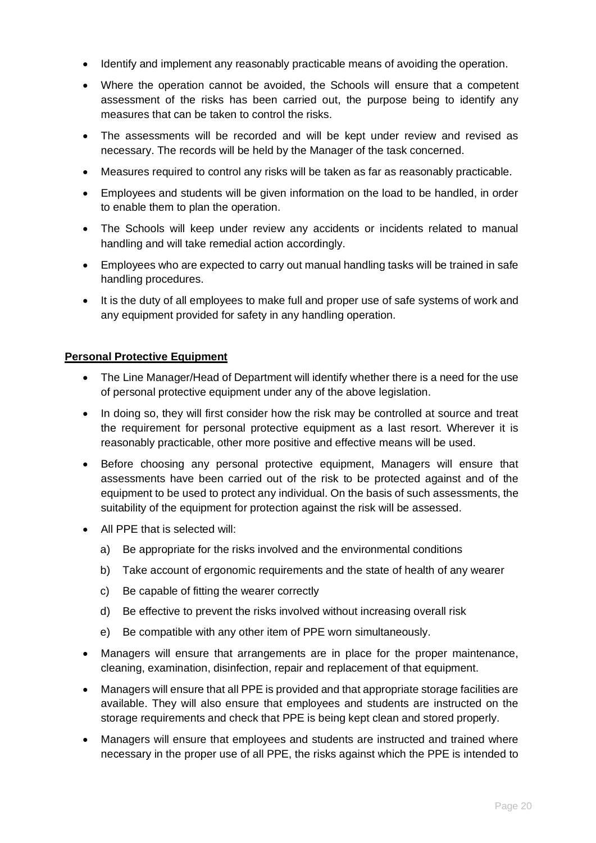- Identify and implement any reasonably practicable means of avoiding the operation.
- Where the operation cannot be avoided, the Schools will ensure that a competent assessment of the risks has been carried out, the purpose being to identify any measures that can be taken to control the risks.
- The assessments will be recorded and will be kept under review and revised as necessary. The records will be held by the Manager of the task concerned.
- Measures required to control any risks will be taken as far as reasonably practicable.
- Employees and students will be given information on the load to be handled, in order to enable them to plan the operation.
- The Schools will keep under review any accidents or incidents related to manual handling and will take remedial action accordingly.
- Employees who are expected to carry out manual handling tasks will be trained in safe handling procedures.
- It is the duty of all employees to make full and proper use of safe systems of work and any equipment provided for safety in any handling operation.

### **Personal Protective Equipment**

- The Line Manager/Head of Department will identify whether there is a need for the use of personal protective equipment under any of the above legislation.
- In doing so, they will first consider how the risk may be controlled at source and treat the requirement for personal protective equipment as a last resort. Wherever it is reasonably practicable, other more positive and effective means will be used.
- Before choosing any personal protective equipment, Managers will ensure that assessments have been carried out of the risk to be protected against and of the equipment to be used to protect any individual. On the basis of such assessments, the suitability of the equipment for protection against the risk will be assessed.
- All PPE that is selected will:
	- a) Be appropriate for the risks involved and the environmental conditions
	- b) Take account of ergonomic requirements and the state of health of any wearer
	- c) Be capable of fitting the wearer correctly
	- d) Be effective to prevent the risks involved without increasing overall risk
	- e) Be compatible with any other item of PPE worn simultaneously.
- Managers will ensure that arrangements are in place for the proper maintenance, cleaning, examination, disinfection, repair and replacement of that equipment.
- Managers will ensure that all PPE is provided and that appropriate storage facilities are available. They will also ensure that employees and students are instructed on the storage requirements and check that PPE is being kept clean and stored properly.
- Managers will ensure that employees and students are instructed and trained where necessary in the proper use of all PPE, the risks against which the PPE is intended to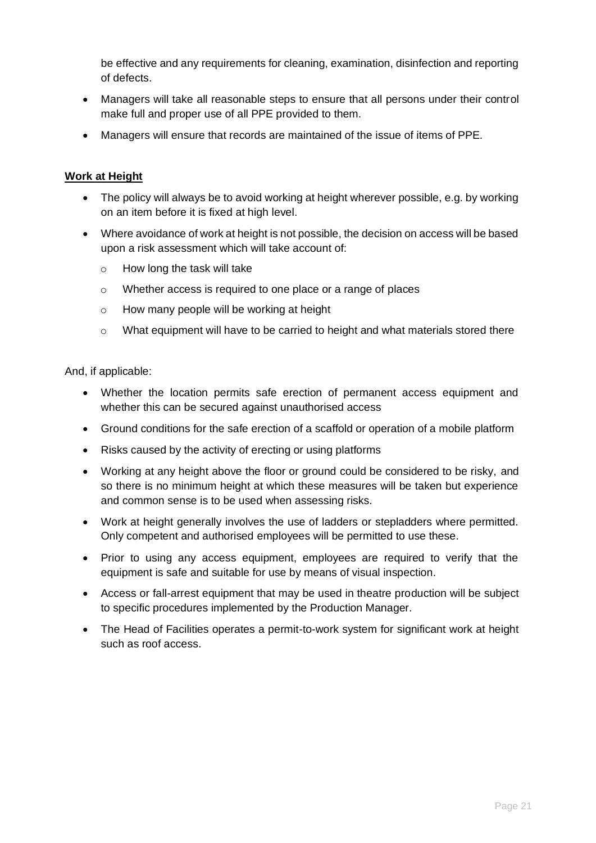be effective and any requirements for cleaning, examination, disinfection and reporting of defects.

- Managers will take all reasonable steps to ensure that all persons under their control make full and proper use of all PPE provided to them.
- Managers will ensure that records are maintained of the issue of items of PPE.

# **Work at Height**

- The policy will always be to avoid working at height wherever possible, e.g. by working on an item before it is fixed at high level.
- Where avoidance of work at height is not possible, the decision on access will be based upon a risk assessment which will take account of:
	- o How long the task will take
	- o Whether access is required to one place or a range of places
	- o How many people will be working at height
	- o What equipment will have to be carried to height and what materials stored there

And, if applicable:

- Whether the location permits safe erection of permanent access equipment and whether this can be secured against unauthorised access
- Ground conditions for the safe erection of a scaffold or operation of a mobile platform
- Risks caused by the activity of erecting or using platforms
- Working at any height above the floor or ground could be considered to be risky, and so there is no minimum height at which these measures will be taken but experience and common sense is to be used when assessing risks.
- Work at height generally involves the use of ladders or stepladders where permitted. Only competent and authorised employees will be permitted to use these.
- Prior to using any access equipment, employees are required to verify that the equipment is safe and suitable for use by means of visual inspection.
- Access or fall-arrest equipment that may be used in theatre production will be subject to specific procedures implemented by the Production Manager.
- The Head of Facilities operates a permit-to-work system for significant work at height such as roof access.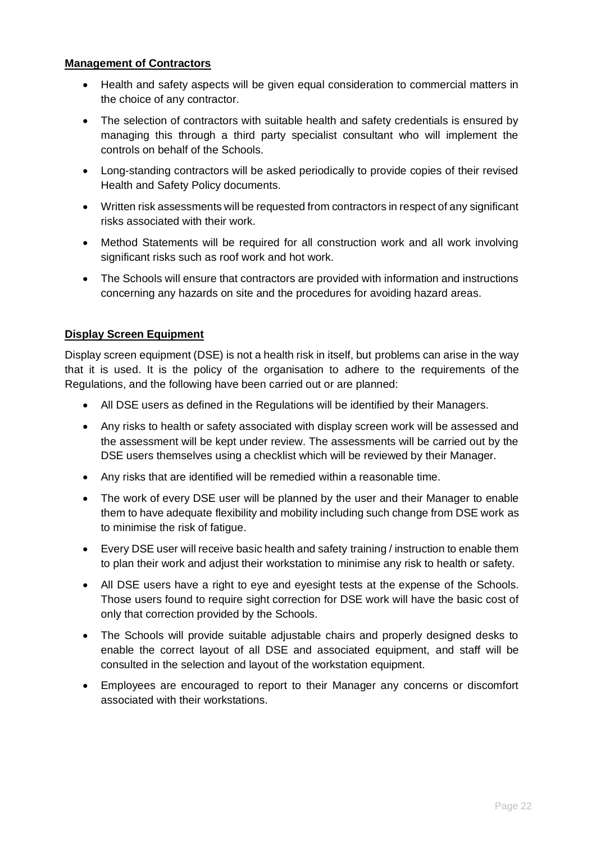#### **Management of Contractors**

- Health and safety aspects will be given equal consideration to commercial matters in the choice of any contractor.
- The selection of contractors with suitable health and safety credentials is ensured by managing this through a third party specialist consultant who will implement the controls on behalf of the Schools.
- Long-standing contractors will be asked periodically to provide copies of their revised Health and Safety Policy documents.
- Written risk assessments will be requested from contractors in respect of any significant risks associated with their work.
- Method Statements will be required for all construction work and all work involving significant risks such as roof work and hot work.
- The Schools will ensure that contractors are provided with information and instructions concerning any hazards on site and the procedures for avoiding hazard areas.

### **Display Screen Equipment**

Display screen equipment (DSE) is not a health risk in itself, but problems can arise in the way that it is used. It is the policy of the organisation to adhere to the requirements of the Regulations, and the following have been carried out or are planned:

- All DSE users as defined in the Regulations will be identified by their Managers.
- Any risks to health or safety associated with display screen work will be assessed and the assessment will be kept under review. The assessments will be carried out by the DSE users themselves using a checklist which will be reviewed by their Manager.
- Any risks that are identified will be remedied within a reasonable time.
- The work of every DSE user will be planned by the user and their Manager to enable them to have adequate flexibility and mobility including such change from DSE work as to minimise the risk of fatigue.
- Every DSE user will receive basic health and safety training / instruction to enable them to plan their work and adjust their workstation to minimise any risk to health or safety.
- All DSE users have a right to eye and eyesight tests at the expense of the Schools. Those users found to require sight correction for DSE work will have the basic cost of only that correction provided by the Schools.
- The Schools will provide suitable adjustable chairs and properly designed desks to enable the correct layout of all DSE and associated equipment, and staff will be consulted in the selection and layout of the workstation equipment.
- Employees are encouraged to report to their Manager any concerns or discomfort associated with their workstations.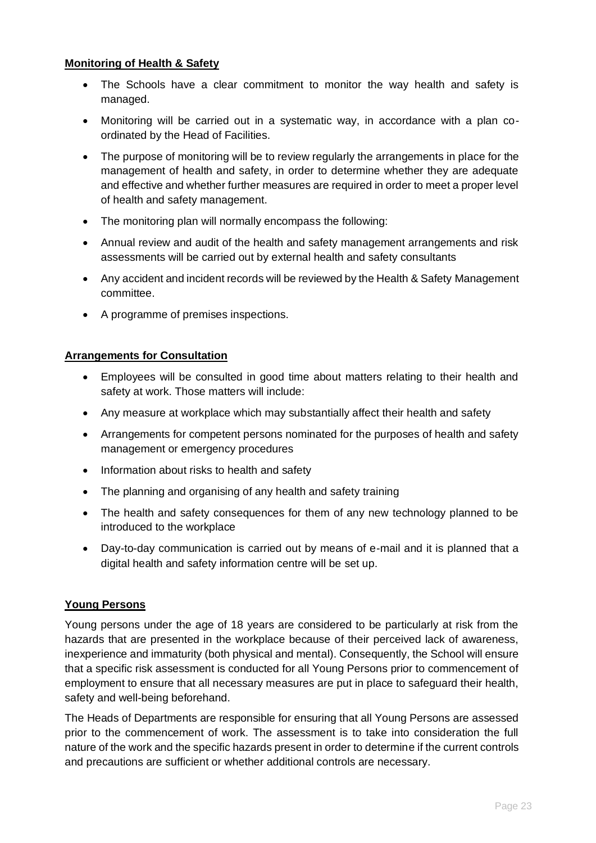### **Monitoring of Health & Safety**

- The Schools have a clear commitment to monitor the way health and safety is managed.
- Monitoring will be carried out in a systematic way, in accordance with a plan coordinated by the Head of Facilities.
- The purpose of monitoring will be to review regularly the arrangements in place for the management of health and safety, in order to determine whether they are adequate and effective and whether further measures are required in order to meet a proper level of health and safety management.
- The monitoring plan will normally encompass the following:
- Annual review and audit of the health and safety management arrangements and risk assessments will be carried out by external health and safety consultants
- Any accident and incident records will be reviewed by the Health & Safety Management committee.
- A programme of premises inspections.

### **Arrangements for Consultation**

- Employees will be consulted in good time about matters relating to their health and safety at work. Those matters will include:
- Any measure at workplace which may substantially affect their health and safety
- Arrangements for competent persons nominated for the purposes of health and safety management or emergency procedures
- Information about risks to health and safety
- The planning and organising of any health and safety training
- The health and safety consequences for them of any new technology planned to be introduced to the workplace
- Day-to-day communication is carried out by means of e-mail and it is planned that a digital health and safety information centre will be set up.

### **Young Persons**

Young persons under the age of 18 years are considered to be particularly at risk from the hazards that are presented in the workplace because of their perceived lack of awareness, inexperience and immaturity (both physical and mental). Consequently, the School will ensure that a specific risk assessment is conducted for all Young Persons prior to commencement of employment to ensure that all necessary measures are put in place to safeguard their health, safety and well-being beforehand.

The Heads of Departments are responsible for ensuring that all Young Persons are assessed prior to the commencement of work. The assessment is to take into consideration the full nature of the work and the specific hazards present in order to determine if the current controls and precautions are sufficient or whether additional controls are necessary.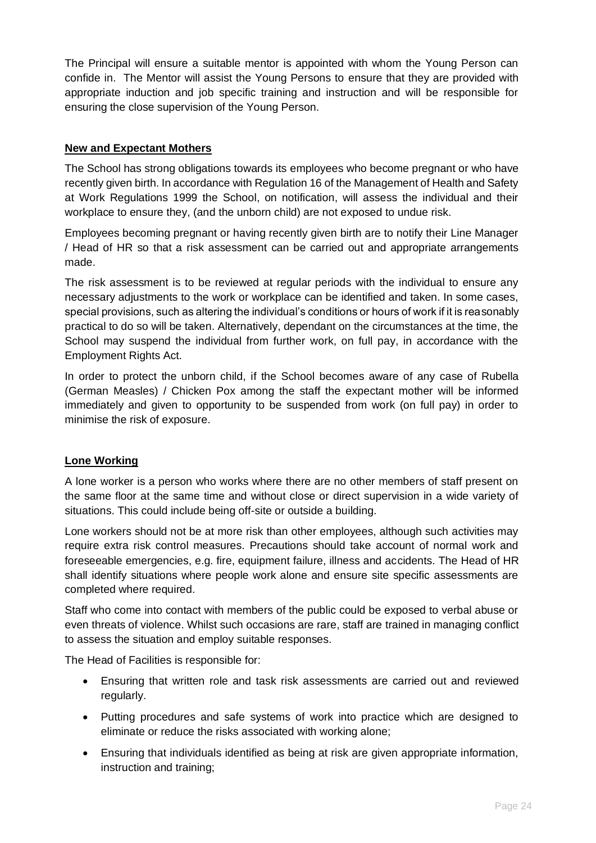The Principal will ensure a suitable mentor is appointed with whom the Young Person can confide in. The Mentor will assist the Young Persons to ensure that they are provided with appropriate induction and job specific training and instruction and will be responsible for ensuring the close supervision of the Young Person.

### **New and Expectant Mothers**

The School has strong obligations towards its employees who become pregnant or who have recently given birth. In accordance with Regulation 16 of the Management of Health and Safety at Work Regulations 1999 the School, on notification, will assess the individual and their workplace to ensure they, (and the unborn child) are not exposed to undue risk.

Employees becoming pregnant or having recently given birth are to notify their Line Manager / Head of HR so that a risk assessment can be carried out and appropriate arrangements made.

The risk assessment is to be reviewed at regular periods with the individual to ensure any necessary adjustments to the work or workplace can be identified and taken. In some cases, special provisions, such as altering the individual's conditions or hours of work if it is reasonably practical to do so will be taken. Alternatively, dependant on the circumstances at the time, the School may suspend the individual from further work, on full pay, in accordance with the Employment Rights Act.

In order to protect the unborn child, if the School becomes aware of any case of Rubella (German Measles) / Chicken Pox among the staff the expectant mother will be informed immediately and given to opportunity to be suspended from work (on full pay) in order to minimise the risk of exposure.

### **Lone Working**

A lone worker is a person who works where there are no other members of staff present on the same floor at the same time and without close or direct supervision in a wide variety of situations. This could include being off-site or outside a building.

Lone workers should not be at more risk than other employees, although such activities may require extra risk control measures. Precautions should take account of normal work and foreseeable emergencies, e.g. fire, equipment failure, illness and accidents. The Head of HR shall identify situations where people work alone and ensure site specific assessments are completed where required.

Staff who come into contact with members of the public could be exposed to verbal abuse or even threats of violence. Whilst such occasions are rare, staff are trained in managing conflict to assess the situation and employ suitable responses.

The Head of Facilities is responsible for:

- Ensuring that written role and task risk assessments are carried out and reviewed regularly.
- Putting procedures and safe systems of work into practice which are designed to eliminate or reduce the risks associated with working alone;
- Ensuring that individuals identified as being at risk are given appropriate information, instruction and training;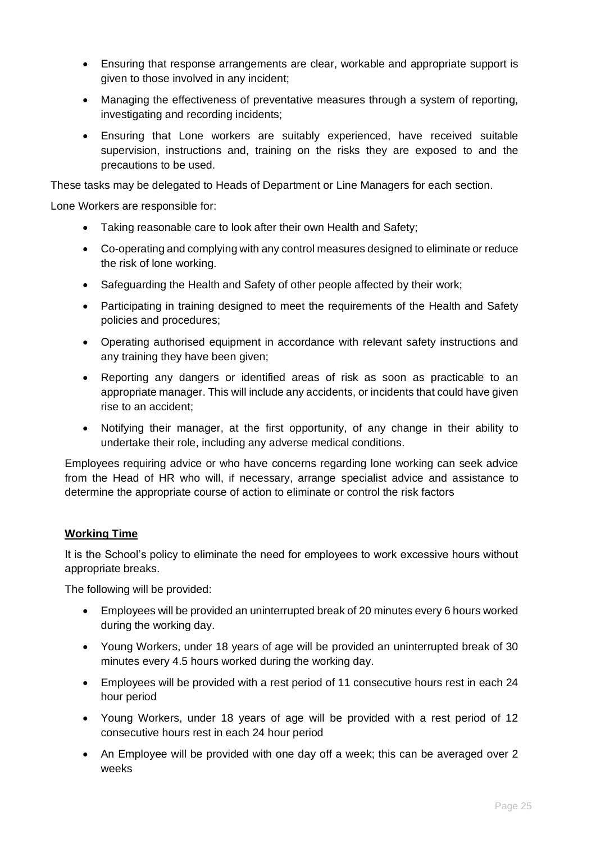- Ensuring that response arrangements are clear, workable and appropriate support is given to those involved in any incident;
- Managing the effectiveness of preventative measures through a system of reporting, investigating and recording incidents;
- Ensuring that Lone workers are suitably experienced, have received suitable supervision, instructions and, training on the risks they are exposed to and the precautions to be used.

These tasks may be delegated to Heads of Department or Line Managers for each section.

Lone Workers are responsible for:

- Taking reasonable care to look after their own Health and Safety;
- Co-operating and complying with any control measures designed to eliminate or reduce the risk of lone working.
- Safeguarding the Health and Safety of other people affected by their work;
- Participating in training designed to meet the requirements of the Health and Safety policies and procedures;
- Operating authorised equipment in accordance with relevant safety instructions and any training they have been given;
- Reporting any dangers or identified areas of risk as soon as practicable to an appropriate manager. This will include any accidents, or incidents that could have given rise to an accident;
- Notifying their manager, at the first opportunity, of any change in their ability to undertake their role, including any adverse medical conditions.

Employees requiring advice or who have concerns regarding lone working can seek advice from the Head of HR who will, if necessary, arrange specialist advice and assistance to determine the appropriate course of action to eliminate or control the risk factors

### **Working Time**

It is the School's policy to eliminate the need for employees to work excessive hours without appropriate breaks.

The following will be provided:

- Employees will be provided an uninterrupted break of 20 minutes every 6 hours worked during the working day.
- Young Workers, under 18 years of age will be provided an uninterrupted break of 30 minutes every 4.5 hours worked during the working day.
- Employees will be provided with a rest period of 11 consecutive hours rest in each 24 hour period
- Young Workers, under 18 years of age will be provided with a rest period of 12 consecutive hours rest in each 24 hour period
- An Employee will be provided with one day off a week; this can be averaged over 2 weeks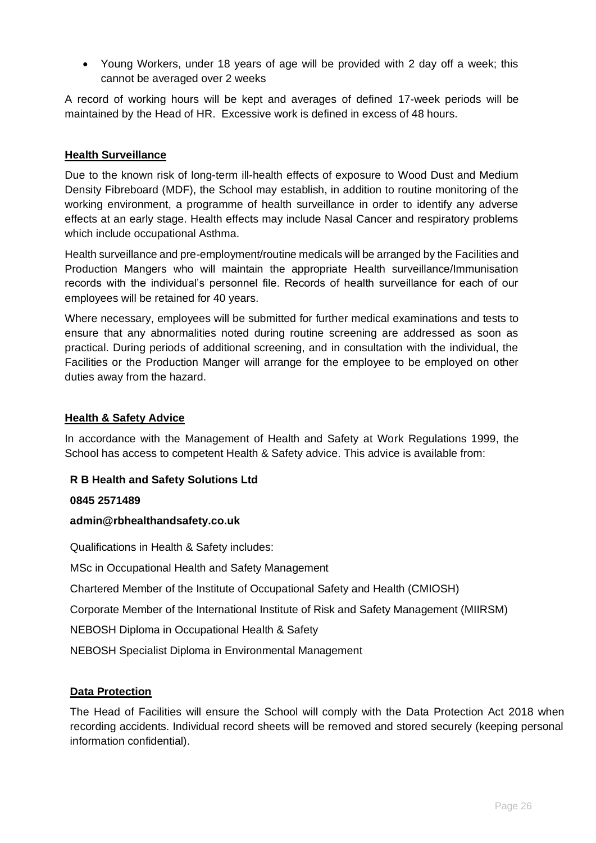• Young Workers, under 18 years of age will be provided with 2 day off a week; this cannot be averaged over 2 weeks

A record of working hours will be kept and averages of defined 17-week periods will be maintained by the Head of HR. Excessive work is defined in excess of 48 hours.

### **Health Surveillance**

Due to the known risk of long-term ill-health effects of exposure to Wood Dust and Medium Density Fibreboard (MDF), the School may establish, in addition to routine monitoring of the working environment, a programme of health surveillance in order to identify any adverse effects at an early stage. Health effects may include Nasal Cancer and respiratory problems which include occupational Asthma.

Health surveillance and pre-employment/routine medicals will be arranged by the Facilities and Production Mangers who will maintain the appropriate Health surveillance/Immunisation records with the individual's personnel file. Records of health surveillance for each of our employees will be retained for 40 years.

Where necessary, employees will be submitted for further medical examinations and tests to ensure that any abnormalities noted during routine screening are addressed as soon as practical. During periods of additional screening, and in consultation with the individual, the Facilities or the Production Manger will arrange for the employee to be employed on other duties away from the hazard.

#### **Health & Safety Advice**

In accordance with the Management of Health and Safety at Work Regulations 1999, the School has access to competent Health & Safety advice. This advice is available from:

#### **R B Health and Safety Solutions Ltd**

#### **0845 2571489**

#### **admin@rbhealthandsafety.co.uk**

Qualifications in Health & Safety includes:

MSc in Occupational Health and Safety Management

Chartered Member of the Institute of Occupational Safety and Health (CMIOSH)

Corporate Member of the International Institute of Risk and Safety Management (MIIRSM)

NEBOSH Diploma in Occupational Health & Safety

NEBOSH Specialist Diploma in Environmental Management

#### **Data Protection**

The Head of Facilities will ensure the School will comply with the Data Protection Act 2018 when recording accidents. Individual record sheets will be removed and stored securely (keeping personal information confidential).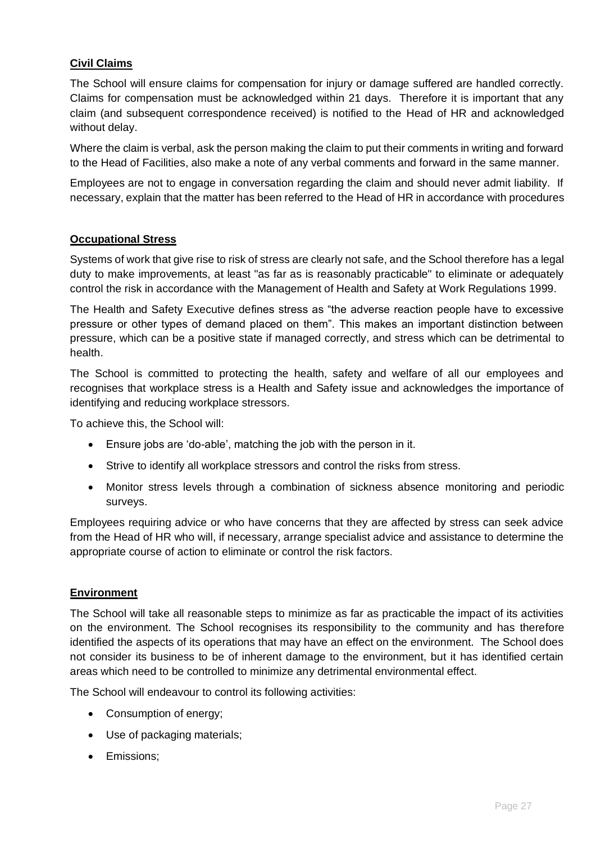# **Civil Claims**

The School will ensure claims for compensation for injury or damage suffered are handled correctly. Claims for compensation must be acknowledged within 21 days. Therefore it is important that any claim (and subsequent correspondence received) is notified to the Head of HR and acknowledged without delay.

Where the claim is verbal, ask the person making the claim to put their comments in writing and forward to the Head of Facilities, also make a note of any verbal comments and forward in the same manner.

Employees are not to engage in conversation regarding the claim and should never admit liability. If necessary, explain that the matter has been referred to the Head of HR in accordance with procedures

### **Occupational Stress**

Systems of work that give rise to risk of stress are clearly not safe, and the School therefore has a legal duty to make improvements, at least "as far as is reasonably practicable" to eliminate or adequately control the risk in accordance with the Management of Health and Safety at Work Regulations 1999.

The Health and Safety Executive defines stress as "the adverse reaction people have to excessive pressure or other types of demand placed on them". This makes an important distinction between pressure, which can be a positive state if managed correctly, and stress which can be detrimental to health.

The School is committed to protecting the health, safety and welfare of all our employees and recognises that workplace stress is a Health and Safety issue and acknowledges the importance of identifying and reducing workplace stressors.

To achieve this, the School will:

- Ensure jobs are 'do-able', matching the job with the person in it.
- Strive to identify all workplace stressors and control the risks from stress.
- Monitor stress levels through a combination of sickness absence monitoring and periodic surveys.

Employees requiring advice or who have concerns that they are affected by stress can seek advice from the Head of HR who will, if necessary, arrange specialist advice and assistance to determine the appropriate course of action to eliminate or control the risk factors.

#### **Environment**

The School will take all reasonable steps to minimize as far as practicable the impact of its activities on the environment. The School recognises its responsibility to the community and has therefore identified the aspects of its operations that may have an effect on the environment. The School does not consider its business to be of inherent damage to the environment, but it has identified certain areas which need to be controlled to minimize any detrimental environmental effect.

The School will endeavour to control its following activities:

- Consumption of energy;
- Use of packaging materials;
- Emissions: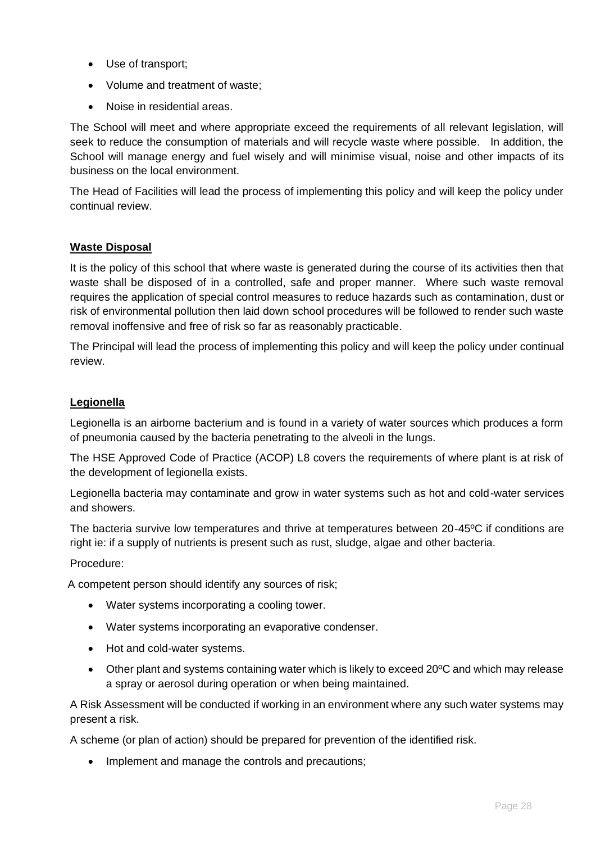- Use of transport;
- Volume and treatment of waste;
- Noise in residential areas.

The School will meet and where appropriate exceed the requirements of all relevant legislation, will seek to reduce the consumption of materials and will recycle waste where possible. In addition, the School will manage energy and fuel wisely and will minimise visual, noise and other impacts of its business on the local environment.

The Head of Facilities will lead the process of implementing this policy and will keep the policy under continual review.

### **Waste Disposal**

It is the policy of this school that where waste is generated during the course of its activities then that waste shall be disposed of in a controlled, safe and proper manner. Where such waste removal requires the application of special control measures to reduce hazards such as contamination, dust or risk of environmental pollution then laid down school procedures will be followed to render such waste removal inoffensive and free of risk so far as reasonably practicable.

The Principal will lead the process of implementing this policy and will keep the policy under continual review.

### **Legionella**

Legionella is an airborne bacterium and is found in a variety of water sources which produces a form of pneumonia caused by the bacteria penetrating to the alveoli in the lungs.

The HSE Approved Code of Practice (ACOP) L8 covers the requirements of where plant is at risk of the development of legionella exists.

Legionella bacteria may contaminate and grow in water systems such as hot and cold-water services and showers.

The bacteria survive low temperatures and thrive at temperatures between 20-45ºC if conditions are right ie: if a supply of nutrients is present such as rust, sludge, algae and other bacteria.

#### Procedure:

A competent person should identify any sources of risk;

- Water systems incorporating a cooling tower.
- Water systems incorporating an evaporative condenser.
- Hot and cold-water systems.
- Other plant and systems containing water which is likely to exceed 20ºC and which may release a spray or aerosol during operation or when being maintained.

A Risk Assessment will be conducted if working in an environment where any such water systems may present a risk.

A scheme (or plan of action) should be prepared for prevention of the identified risk.

• Implement and manage the controls and precautions;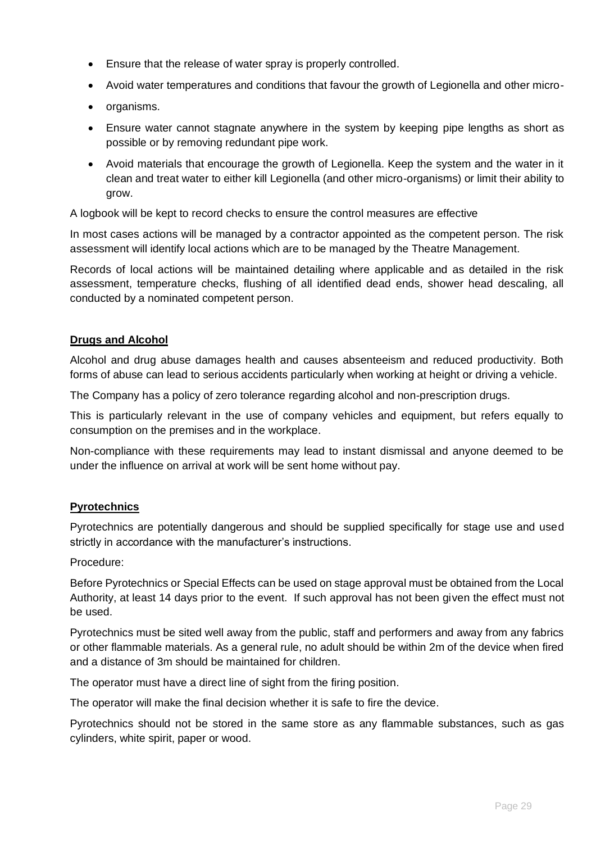- Ensure that the release of water spray is properly controlled.
- Avoid water temperatures and conditions that favour the growth of Legionella and other micro-
- organisms.
- Ensure water cannot stagnate anywhere in the system by keeping pipe lengths as short as possible or by removing redundant pipe work.
- Avoid materials that encourage the growth of Legionella. Keep the system and the water in it clean and treat water to either kill Legionella (and other micro-organisms) or limit their ability to grow.

A logbook will be kept to record checks to ensure the control measures are effective

In most cases actions will be managed by a contractor appointed as the competent person. The risk assessment will identify local actions which are to be managed by the Theatre Management.

Records of local actions will be maintained detailing where applicable and as detailed in the risk assessment, temperature checks, flushing of all identified dead ends, shower head descaling, all conducted by a nominated competent person.

#### **Drugs and Alcohol**

Alcohol and drug abuse damages health and causes absenteeism and reduced productivity. Both forms of abuse can lead to serious accidents particularly when working at height or driving a vehicle.

The Company has a policy of zero tolerance regarding alcohol and non-prescription drugs.

This is particularly relevant in the use of company vehicles and equipment, but refers equally to consumption on the premises and in the workplace.

Non-compliance with these requirements may lead to instant dismissal and anyone deemed to be under the influence on arrival at work will be sent home without pay.

#### **Pyrotechnics**

Pyrotechnics are potentially dangerous and should be supplied specifically for stage use and used strictly in accordance with the manufacturer's instructions.

Procedure:

Before Pyrotechnics or Special Effects can be used on stage approval must be obtained from the Local Authority, at least 14 days prior to the event. If such approval has not been given the effect must not be used.

Pyrotechnics must be sited well away from the public, staff and performers and away from any fabrics or other flammable materials. As a general rule, no adult should be within 2m of the device when fired and a distance of 3m should be maintained for children.

The operator must have a direct line of sight from the firing position.

The operator will make the final decision whether it is safe to fire the device.

Pyrotechnics should not be stored in the same store as any flammable substances, such as gas cylinders, white spirit, paper or wood.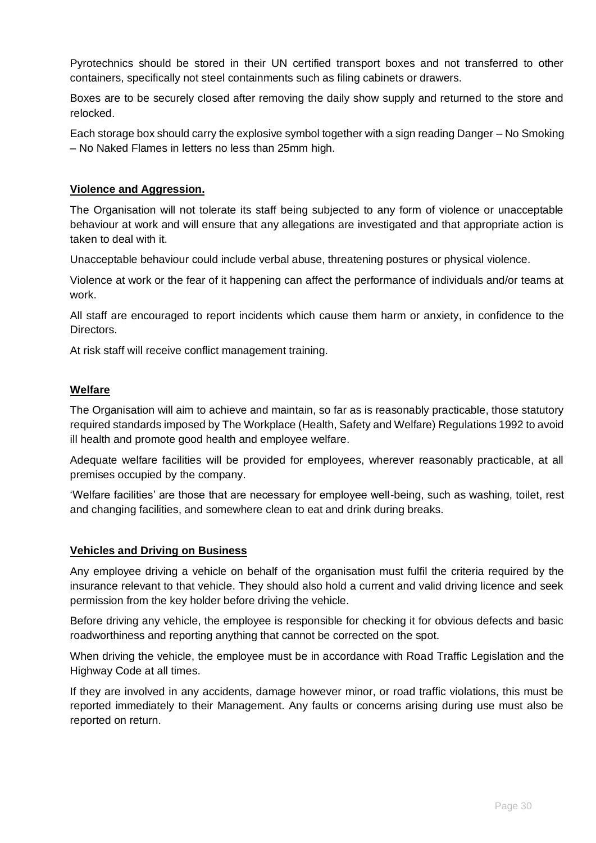Pyrotechnics should be stored in their UN certified transport boxes and not transferred to other containers, specifically not steel containments such as filing cabinets or drawers.

Boxes are to be securely closed after removing the daily show supply and returned to the store and relocked.

Each storage box should carry the explosive symbol together with a sign reading Danger – No Smoking – No Naked Flames in letters no less than 25mm high.

#### **Violence and Aggression.**

The Organisation will not tolerate its staff being subjected to any form of violence or unacceptable behaviour at work and will ensure that any allegations are investigated and that appropriate action is taken to deal with it.

Unacceptable behaviour could include verbal abuse, threatening postures or physical violence.

Violence at work or the fear of it happening can affect the performance of individuals and/or teams at work.

All staff are encouraged to report incidents which cause them harm or anxiety, in confidence to the Directors.

At risk staff will receive conflict management training.

#### **Welfare**

The Organisation will aim to achieve and maintain, so far as is reasonably practicable, those statutory required standards imposed by The Workplace (Health, Safety and Welfare) Regulations 1992 to avoid ill health and promote good health and employee welfare.

Adequate welfare facilities will be provided for employees, wherever reasonably practicable, at all premises occupied by the company.

'Welfare facilities' are those that are necessary for employee well-being, such as washing, toilet, rest and changing facilities, and somewhere clean to eat and drink during breaks.

#### **Vehicles and Driving on Business**

Any employee driving a vehicle on behalf of the organisation must fulfil the criteria required by the insurance relevant to that vehicle. They should also hold a current and valid driving licence and seek permission from the key holder before driving the vehicle.

Before driving any vehicle, the employee is responsible for checking it for obvious defects and basic roadworthiness and reporting anything that cannot be corrected on the spot.

When driving the vehicle, the employee must be in accordance with Road Traffic Legislation and the Highway Code at all times.

If they are involved in any accidents, damage however minor, or road traffic violations, this must be reported immediately to their Management. Any faults or concerns arising during use must also be reported on return.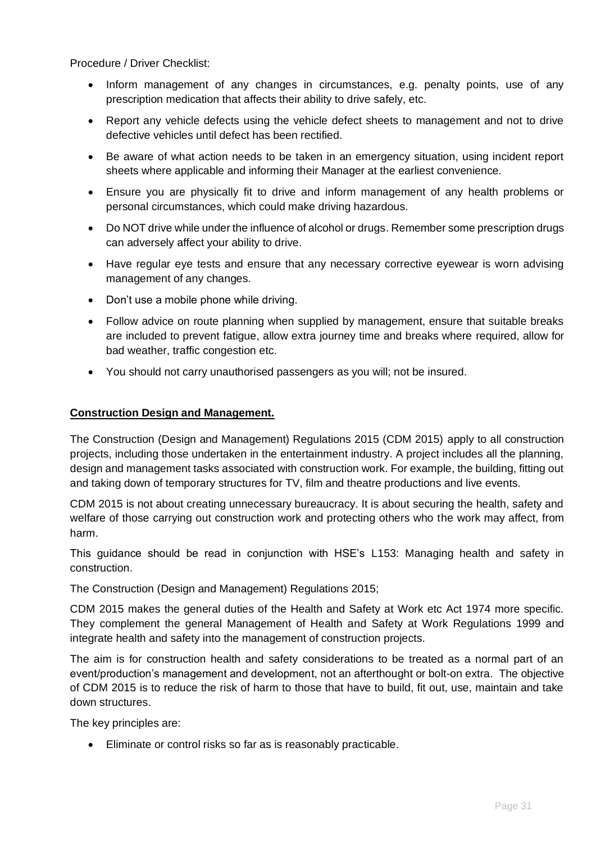Procedure / Driver Checklist:

- Inform management of any changes in circumstances, e.g. penalty points, use of any prescription medication that affects their ability to drive safely, etc.
- Report any vehicle defects using the vehicle defect sheets to management and not to drive defective vehicles until defect has been rectified.
- Be aware of what action needs to be taken in an emergency situation, using incident report sheets where applicable and informing their Manager at the earliest convenience.
- Ensure you are physically fit to drive and inform management of any health problems or personal circumstances, which could make driving hazardous.
- Do NOT drive while under the influence of alcohol or drugs. Remember some prescription drugs can adversely affect your ability to drive.
- Have regular eye tests and ensure that any necessary corrective eyewear is worn advising management of any changes.
- Don't use a mobile phone while driving.
- Follow advice on route planning when supplied by management, ensure that suitable breaks are included to prevent fatigue, allow extra journey time and breaks where required, allow for bad weather, traffic congestion etc.
- You should not carry unauthorised passengers as you will; not be insured.

#### **Construction Design and Management.**

[The Construction \(Design and Management\) Regulations 2015 \(CDM 2015\) a](http://www.legislation.gov.uk/uksi/2015/51/contents/made)pply to all construction projects, including those undertaken in the entertainment industry. A project includes all the planning, design and management tasks associated with construction work. For example, the building, fitting out and taking down of temporary structures for TV, film and theatre productions and live events.

CDM 2015 is not about creating unnecessary bureaucracy. It is about securing the health, safety and welfare of those carrying out construction work and protecting others who the work may affect, from harm.

This guidance should be read in conjunction with HSE's [L153: Managing health and safety in](http://www.hse.gov.uk/pubns/books/l153.htm)  [construction.](http://www.hse.gov.uk/pubns/books/l153.htm)

The Construction (Design and Management) Regulations 2015;

CDM 2015 makes the general duties of the Health and Safety at Work etc Act 1974 more specific. They complement the general Management of Health and Safety at Work Regulations 1999 and integrate health and safety into the management of construction projects.

The aim is for construction health and safety considerations to be treated as a normal part of an event/production's management and development, not an afterthought or bolt-on extra. The objective of CDM 2015 is to reduce the risk of harm to those that have to build, fit out, use, maintain and take down structures.

The key principles are:

• Eliminate or control risks so far as is reasonably practicable.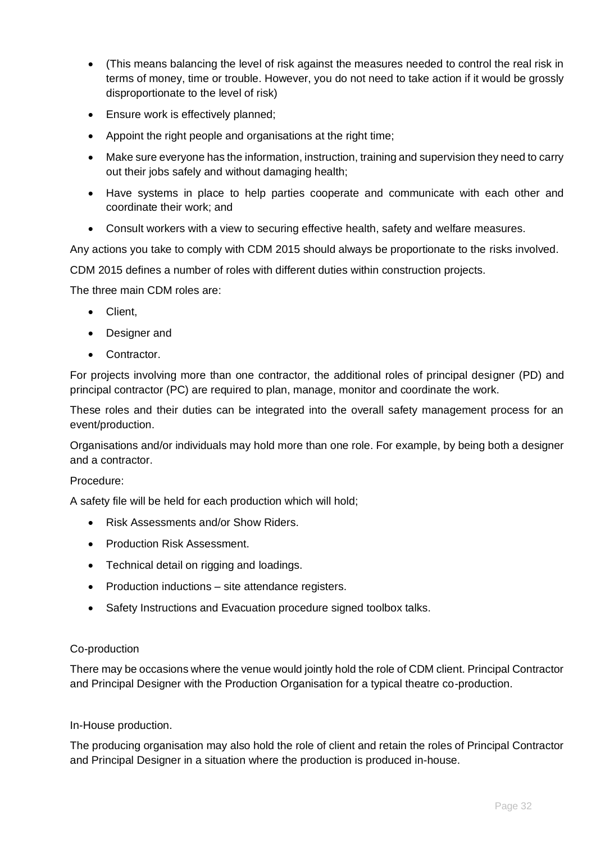- (This means balancing the level of risk against the measures needed to control the real risk in terms of money, time or trouble. However, you do not need to take action if it would be grossly disproportionate to the level of risk)
- Ensure work is effectively planned;
- Appoint the right people and organisations at the right time;
- Make sure everyone has the information, instruction, training and supervision they need to carry out their jobs safely and without damaging health;
- Have systems in place to help parties cooperate and communicate with each other and coordinate their work; and
- Consult workers with a view to securing effective health, safety and welfare measures.

Any actions you take to comply with CDM 2015 should always be proportionate to the risks involved.

CDM 2015 defines a number of roles with different duties within construction projects.

The three main CDM roles are:

- Client,
- Designer and
- Contractor.

For projects involving more than one contractor, the additional roles of principal designer (PD) and principal contractor (PC) are required to plan, manage, monitor and coordinate the work.

These roles and their duties can be integrated into the overall safety management process for an event/production.

Organisations and/or individuals may hold more than one role. For example, by being both a designer and a contractor.

#### Procedure:

A safety file will be held for each production which will hold;

- Risk Assessments and/or Show Riders.
- Production Risk Assessment.
- Technical detail on rigging and loadings.
- Production inductions site attendance registers.
- Safety Instructions and Evacuation procedure signed toolbox talks.

#### Co-production

There may be occasions where the venue would jointly hold the role of CDM client. Principal Contractor and Principal Designer with the Production Organisation for a typical theatre co-production.

#### In-House production.

The producing organisation may also hold the role of client and retain the roles of Principal Contractor and Principal Designer in a situation where the production is produced in-house.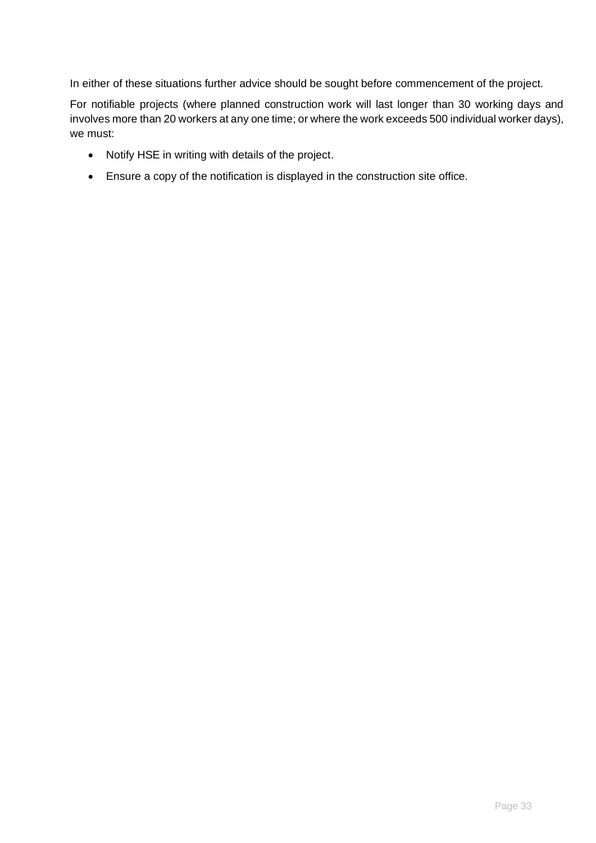In either of these situations further advice should be sought before commencement of the project.

For notifiable projects (where planned construction work will last longer than 30 working days and involves more than 20 workers at any one time; or where the work exceeds 500 individual worker days), we must:

- [Notify HSE in writing with details of the project.](https://www.hse.gov.uk/forms/notification/f10.htm)
- Ensure a copy of the notification is displayed in the construction site office.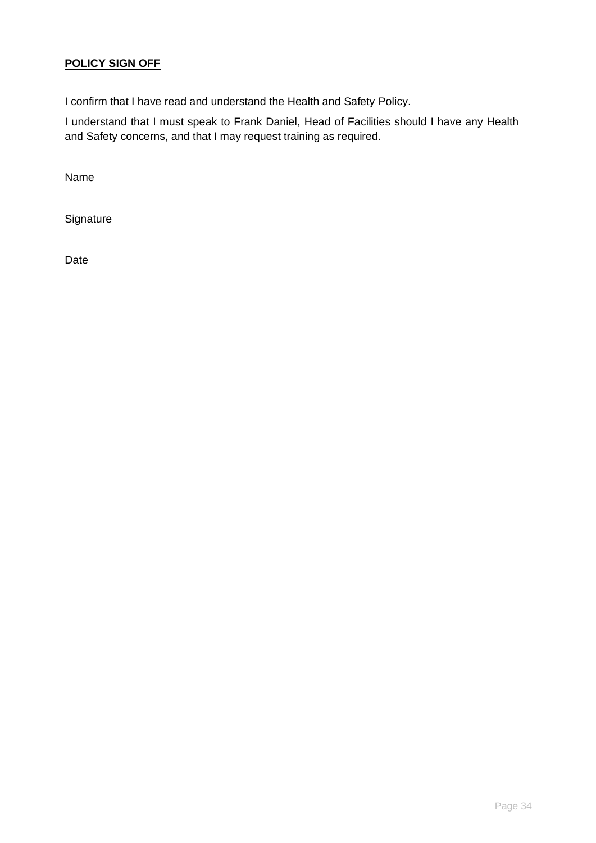# **POLICY SIGN OFF**

I confirm that I have read and understand the Health and Safety Policy.

I understand that I must speak to Frank Daniel, Head of Facilities should I have any Health and Safety concerns, and that I may request training as required.

Name

**Signature** 

Date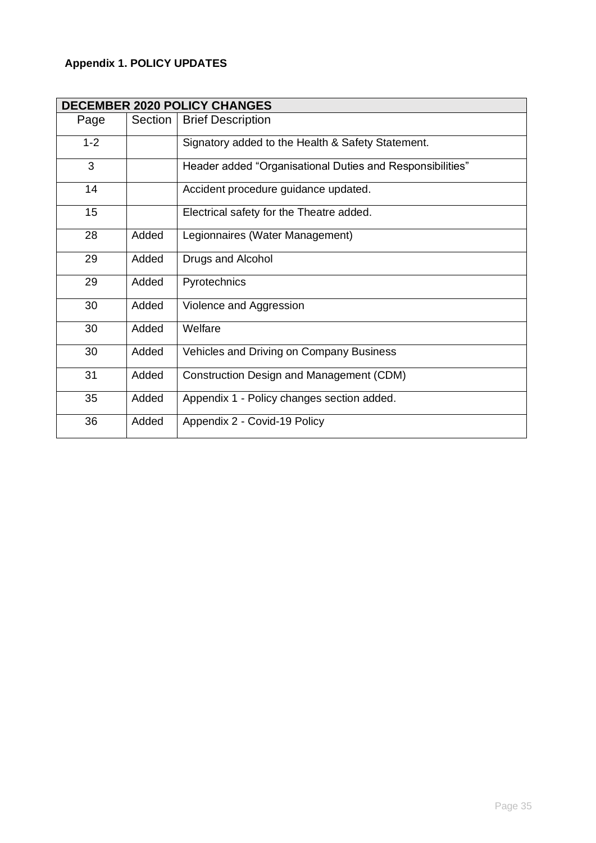# **Appendix 1. POLICY UPDATES**

| <b>DECEMBER 2020 POLICY CHANGES</b> |         |                                                           |  |  |
|-------------------------------------|---------|-----------------------------------------------------------|--|--|
| Page                                | Section | <b>Brief Description</b>                                  |  |  |
| $1 - 2$                             |         | Signatory added to the Health & Safety Statement.         |  |  |
| 3                                   |         | Header added "Organisational Duties and Responsibilities" |  |  |
| 14                                  |         | Accident procedure guidance updated.                      |  |  |
| 15                                  |         | Electrical safety for the Theatre added.                  |  |  |
| 28                                  | Added   | Legionnaires (Water Management)                           |  |  |
| 29                                  | Added   | Drugs and Alcohol                                         |  |  |
| 29                                  | Added   | Pyrotechnics                                              |  |  |
| 30                                  | Added   | Violence and Aggression                                   |  |  |
| 30                                  | Added   | Welfare                                                   |  |  |
| 30                                  | Added   | Vehicles and Driving on Company Business                  |  |  |
| 31                                  | Added   | <b>Construction Design and Management (CDM)</b>           |  |  |
| 35                                  | Added   | Appendix 1 - Policy changes section added.                |  |  |
| 36                                  | Added   | Appendix 2 - Covid-19 Policy                              |  |  |